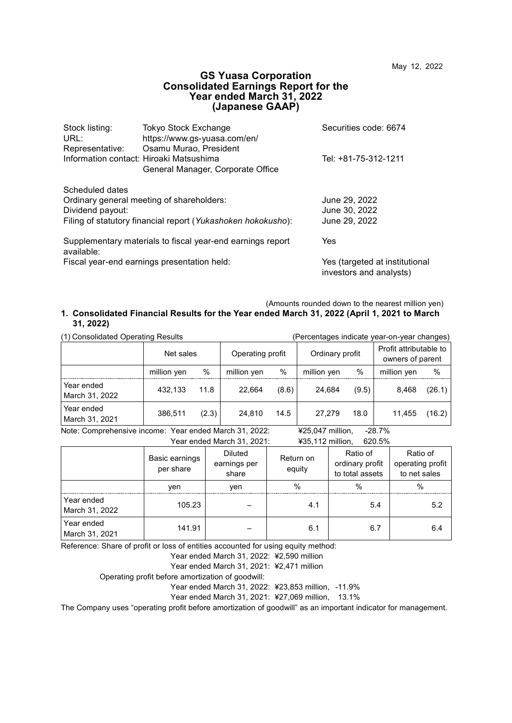### **GS Yuasa Corporation Consolidated Earnings Report for the Year ended March 31, 2022 (Japanese GAAP)**

| Stock listing:   | <b>Tokyo Stock Exchange</b>                                  | Securities code: 6674                                     |
|------------------|--------------------------------------------------------------|-----------------------------------------------------------|
| URL:             | https://www.gs-yuasa.com/en/                                 |                                                           |
| Representative:  | Osamu Murao, President                                       |                                                           |
|                  | Information contact: Hiroaki Matsushima                      | Tel: +81-75-312-1211                                      |
|                  | General Manager, Corporate Office                            |                                                           |
| Scheduled dates  |                                                              |                                                           |
|                  | Ordinary general meeting of shareholders:                    | June 29, 2022                                             |
| Dividend payout: |                                                              | June 30, 2022                                             |
|                  | Filing of statutory financial report (Yukashoken hokokusho): | June 29, 2022                                             |
| available:       | Supplementary materials to fiscal year-end earnings report   | Yes                                                       |
|                  | Fiscal year-end earnings presentation held:                  | Yes (targeted at institutional<br>investors and analysts) |

(Amounts rounded down to the nearest million yen)

#### **1. Consolidated Financial Results for the Year ended March 31, 2022 (April 1, 2021 to March 31, 2022)**

| (1) Consolidated Operating Results                                                    | (Percentages indicate year-on-year changes) |       |                  |       |                               |       |                                            |        |
|---------------------------------------------------------------------------------------|---------------------------------------------|-------|------------------|-------|-------------------------------|-------|--------------------------------------------|--------|
|                                                                                       | Net sales                                   |       | Operating profit |       | Ordinary profit               |       | Profit attributable to<br>owners of parent |        |
|                                                                                       | million yen                                 | %     | million yen      | %     | million yen                   | $\%$  | million yen                                | %      |
| Year ended<br>March 31, 2022                                                          | 432.133                                     | 11.8  | 22.664           | (8.6) | 24.684                        | (9.5) | 8.468                                      | (26.1) |
| Year ended<br>March 31, 2021                                                          | 386.511                                     | (2.3) | 24.810           | 14.5  | 27.279                        | 18.0  | 11.455                                     | (16.2) |
| Mater $\Omega$ corrected the state of the state of the state of $\Omega$ and $\Omega$ |                                             |       |                  |       | $V \cap F \cap A \neq  :  : $ |       | 00.70                                      |        |

Note: Comprehensive income: Year ended March 31, 2022: ¥25,047 million, -28.7% Year ended March 31, 2021: ¥35,112 million, 620.5%

|                              | Basic earnings<br>per share | <b>Diluted</b><br>earnings per<br>share | Return on<br>equity | Ratio of<br>ordinary profit<br>to total assets | Ratio of<br>operating profit<br>to net sales |
|------------------------------|-----------------------------|-----------------------------------------|---------------------|------------------------------------------------|----------------------------------------------|
|                              | ven                         | ven                                     | $\%$                | $\%$                                           | $\%$                                         |
| Year ended<br>March 31, 2022 | 105.23                      |                                         | 4.1                 | 5.4                                            | 5.2                                          |
| Year ended<br>March 31, 2021 | 141.91                      |                                         | 6.1                 | 6.7                                            | 6.4                                          |

Reference: Share of profit or loss of entities accounted for using equity method:

Year ended March 31, 2022: ¥2,590 million

Year ended March 31, 2021: ¥2,471 million

Operating profit before amortization of goodwill:

Year ended March 31, 2022: ¥23,853 million, -11.9%

Year ended March 31, 2021: ¥27,069 million, 13.1%

The Company uses "operating profit before amortization of goodwill" as an important indicator for management.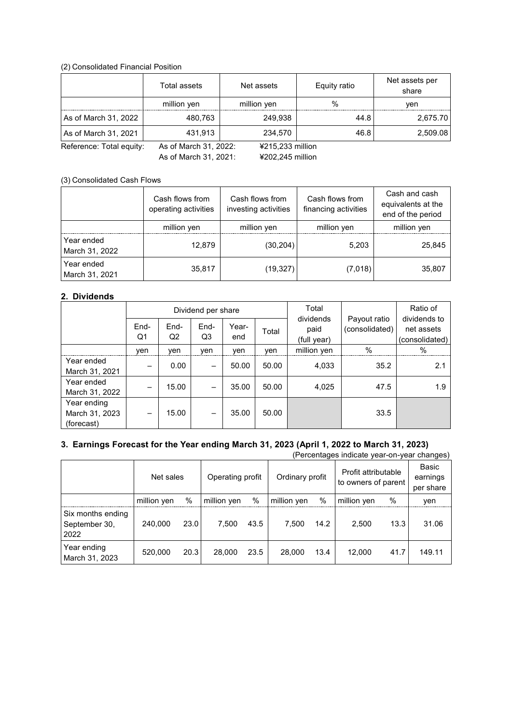#### (2) Consolidated Financial Position

|                                                                       | Total assets | Net assets  | Equity ratio  | Net assets per<br>share |  |  |  |
|-----------------------------------------------------------------------|--------------|-------------|---------------|-------------------------|--|--|--|
|                                                                       | million yen  | million yen | $\frac{0}{0}$ | ven                     |  |  |  |
| As of March 31, 2022                                                  | 480.763      | 249.938     | 44.8          | 2,675.70                |  |  |  |
| As of March 31, 2021                                                  | 431.913      | 234.570     | 46.8          | 2,509.08                |  |  |  |
| As of March 31, 2022:<br>Reference: Total equity:<br>¥215,233 million |              |             |               |                         |  |  |  |

As of March 31, 2021: ¥202,245 million

(3) Consolidated Cash Flows

|                              | Cash flows from<br>operating activities | Cash flows from<br>investing activities | Cash flows from<br>financing activities | Cash and cash<br>equivalents at the<br>end of the period |
|------------------------------|-----------------------------------------|-----------------------------------------|-----------------------------------------|----------------------------------------------------------|
|                              | million yen                             | million yen                             | million yen                             | million yen                                              |
| Year ended<br>March 31, 2022 | 12,879                                  | (30, 204)                               | 5,203                                   | 25,845                                                   |
| Year ended<br>March 31, 2021 | 35,817                                  | (19, 327)                               | (7,018)                                 | 35,807                                                   |

## **2. Dividends**

|                                             | Total<br>Dividend per share |                        |            |              | Ratio of |                                  |                                |                                              |
|---------------------------------------------|-----------------------------|------------------------|------------|--------------|----------|----------------------------------|--------------------------------|----------------------------------------------|
|                                             | End-<br>Q1                  | End-<br>Q <sub>2</sub> | End-<br>Q3 | Year-<br>end | Total    | dividends<br>paid<br>(full year) | Payout ratio<br>(consolidated) | dividends to<br>net assets<br>(consolidated) |
|                                             | ven                         | ven                    | ven        | ven          | ven      | million yen                      | $\%$                           | $\%$                                         |
| Year ended<br>March 31, 2021                |                             | 0.00                   |            | 50.00        | 50.00    | 4,033                            | 35.2                           | 2.1                                          |
| Year ended<br>March 31, 2022                |                             | 15.00                  |            | 35.00        | 50.00    | 4,025                            | 47.5                           | 1.9                                          |
| Year ending<br>March 31, 2023<br>(forecast) |                             | 15.00                  |            | 35.00        | 50.00    |                                  | 33.5                           |                                              |

## **3. Earnings Forecast for the Year ending March 31, 2023 (April 1, 2022 to March 31, 2023)**

(Percentages indicate year-on-year changes)

|                                            | Net sales   |      | Operating profit |      | Ordinary profit |      | Profit attributable<br>to owners of parent |      | Basic<br>earnings<br>per share |
|--------------------------------------------|-------------|------|------------------|------|-----------------|------|--------------------------------------------|------|--------------------------------|
|                                            | million yen | %    | million yen      | %    | million yen     | $\%$ | million yen                                | $\%$ | ven                            |
| Six months ending<br>September 30,<br>2022 | 240.000     | 23.0 | 7.500            | 43.5 | 7.500           | 14.2 | 2.500                                      | 13.3 | 31.06                          |
| Year ending<br>March 31, 2023              | 520,000     | 20.3 | 28,000           | 23.5 | 28,000          | 13.4 | 12.000                                     | 41.7 | 149.11                         |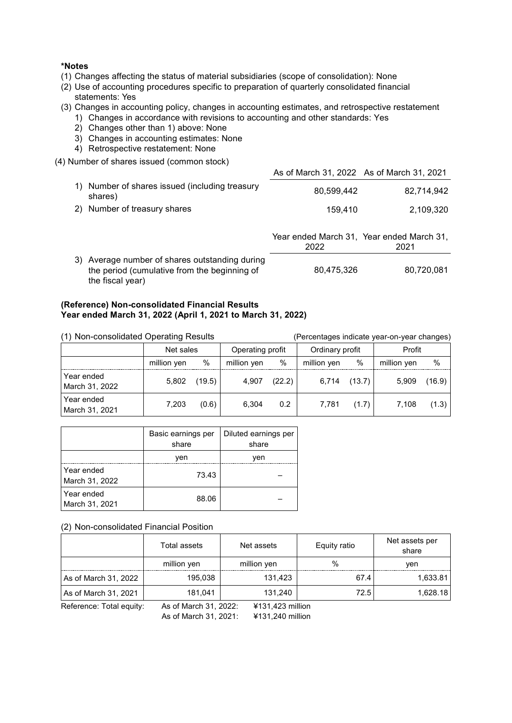### **\*Notes**

- (1) Changes affecting the status of material subsidiaries (scope of consolidation): None
- (2) Use of accounting procedures specific to preparation of quarterly consolidated financial statements: Yes
- (3) Changes in accounting policy, changes in accounting estimates, and retrospective restatement
	- 1) Changes in accordance with revisions to accounting and other standards: Yes
	- 2) Changes other than 1) above: None
	- 3) Changes in accounting estimates: None
	- 4) Retrospective restatement: None

(4) Number of shares issued (common stock)

|                |                                                        | As of March 31, 2022 As of March 31, 2021 |                                                   |
|----------------|--------------------------------------------------------|-------------------------------------------|---------------------------------------------------|
| 1)             | Number of shares issued (including treasury<br>shares) | 80,599,442                                | 82,714,942                                        |
| 2 <sup>)</sup> | Number of treasury shares                              | 159,410                                   | 2,109,320                                         |
|                |                                                        |                                           |                                                   |
|                |                                                        |                                           |                                                   |
|                |                                                        | 2022                                      | Year ended March 31, Year ended March 31,<br>2021 |

## **(Reference) Non-consolidated Financial Results Year ended March 31, 2022 (April 1, 2021 to March 31, 2022)**

| (1) Non-consolidated Operating Results |             |        |                  |        | (Percentages indicate year-on-year changes) |        |             |        |
|----------------------------------------|-------------|--------|------------------|--------|---------------------------------------------|--------|-------------|--------|
|                                        | Net sales   |        | Operating profit |        | Ordinary profit                             |        | Profit      |        |
|                                        | million yen | %      | million yen      | $\%$   | million yen                                 | %      | million yen | %      |
| Year ended<br>March 31, 2022           | 5,802       | (19.5) | 4.907            | (22.2) | 6.714                                       | (13.7) | 5,909       | (16.9) |
| Year ended<br>March 31, 2021           | 7.203       | (0.6)  | 6.304            | 0.2    | 7.781                                       | (1.7)  | 7.108       | (1.3)  |

|                              | Basic earnings per<br>share | Diluted earnings per<br>share |
|------------------------------|-----------------------------|-------------------------------|
|                              | ven                         | ven                           |
| Year ended<br>March 31, 2022 | 73.43                       |                               |
| Year ended<br>March 31, 2021 | 88.06                       |                               |

#### (2) Non-consolidated Financial Position

|                          | Total assets          | Net assets       | Equity ratio  | Net assets per<br>share |
|--------------------------|-----------------------|------------------|---------------|-------------------------|
|                          | million yen           | million yen      | $\frac{0}{0}$ | ven                     |
| As of March 31, 2022     | 195,038               | 131.423          | 67.4          | 1,633.81                |
| As of March 31, 2021     | 181,041               | 131,240          | 72.5          | 1,628.18                |
| Reference: Total equity: | As of March 31, 2022: | ¥131,423 million |               |                         |

As of March 31, 2021: ¥131,240 million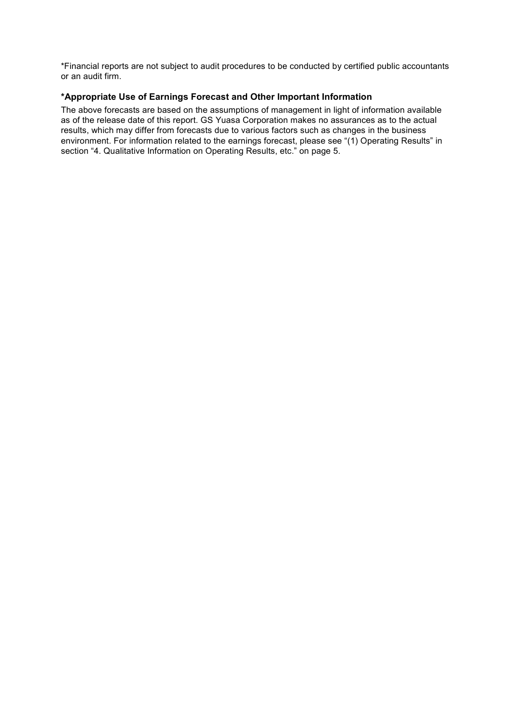\*Financial reports are not subject to audit procedures to be conducted by certified public accountants or an audit firm.

## **\*Appropriate Use of Earnings Forecast and Other Important Information**

The above forecasts are based on the assumptions of management in light of information available as of the release date of this report. GS Yuasa Corporation makes no assurances as to the actual results, which may differ from forecasts due to various factors such as changes in the business environment. For information related to the earnings forecast, please see "(1) Operating Results" in section "4. Qualitative Information on Operating Results, etc." on page 5.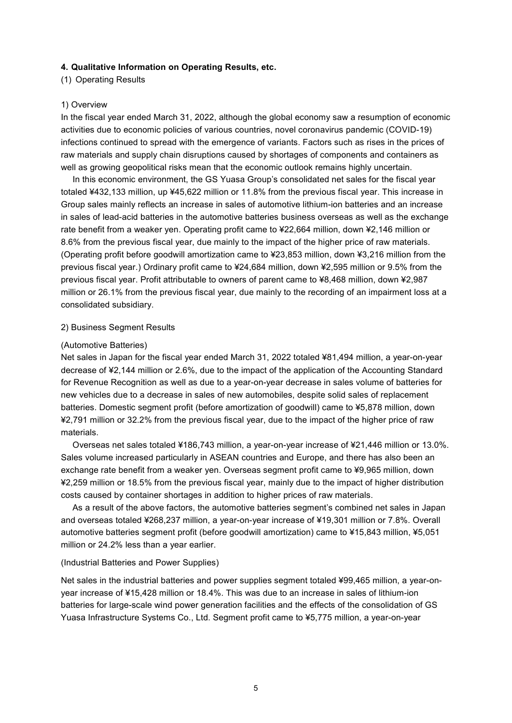### **4. Qualitative Information on Operating Results, etc.**

(1) Operating Results

#### 1) Overview

In the fiscal year ended March 31, 2022, although the global economy saw a resumption of economic activities due to economic policies of various countries, novel coronavirus pandemic (COVID-19) infections continued to spread with the emergence of variants. Factors such as rises in the prices of raw materials and supply chain disruptions caused by shortages of components and containers as well as growing geopolitical risks mean that the economic outlook remains highly uncertain.

In this economic environment, the GS Yuasa Group's consolidated net sales for the fiscal year totaled ¥432,133 million, up ¥45,622 million or 11.8% from the previous fiscal year. This increase in Group sales mainly reflects an increase in sales of automotive lithium-ion batteries and an increase in sales of lead-acid batteries in the automotive batteries business overseas as well as the exchange rate benefit from a weaker yen. Operating profit came to ¥22,664 million, down ¥2,146 million or 8.6% from the previous fiscal year, due mainly to the impact of the higher price of raw materials. (Operating profit before goodwill amortization came to ¥23,853 million, down ¥3,216 million from the previous fiscal year.) Ordinary profit came to ¥24,684 million, down ¥2,595 million or 9.5% from the previous fiscal year. Profit attributable to owners of parent came to ¥8,468 million, down ¥2,987 million or 26.1% from the previous fiscal year, due mainly to the recording of an impairment loss at a consolidated subsidiary.

#### 2) Business Segment Results

#### (Automotive Batteries)

Net sales in Japan for the fiscal year ended March 31, 2022 totaled ¥81,494 million, a year-on-year decrease of ¥2,144 million or 2.6%, due to the impact of the application of the Accounting Standard for Revenue Recognition as well as due to a year-on-year decrease in sales volume of batteries for new vehicles due to a decrease in sales of new automobiles, despite solid sales of replacement batteries. Domestic segment profit (before amortization of goodwill) came to ¥5,878 million, down ¥2,791 million or 32.2% from the previous fiscal year, due to the impact of the higher price of raw materials.

Overseas net sales totaled ¥186,743 million, a year-on-year increase of ¥21,446 million or 13.0%. Sales volume increased particularly in ASEAN countries and Europe, and there has also been an exchange rate benefit from a weaker yen. Overseas segment profit came to ¥9,965 million, down ¥2,259 million or 18.5% from the previous fiscal year, mainly due to the impact of higher distribution costs caused by container shortages in addition to higher prices of raw materials.

As a result of the above factors, the automotive batteries segment's combined net sales in Japan and overseas totaled ¥268,237 million, a year-on-year increase of ¥19,301 million or 7.8%. Overall automotive batteries segment profit (before goodwill amortization) came to ¥15,843 million, ¥5,051 million or 24.2% less than a year earlier.

#### (Industrial Batteries and Power Supplies)

Net sales in the industrial batteries and power supplies segment totaled ¥99,465 million, a year-onyear increase of ¥15,428 million or 18.4%. This was due to an increase in sales of lithium-ion batteries for large-scale wind power generation facilities and the effects of the consolidation of GS Yuasa Infrastructure Systems Co., Ltd. Segment profit came to ¥5,775 million, a year-on-year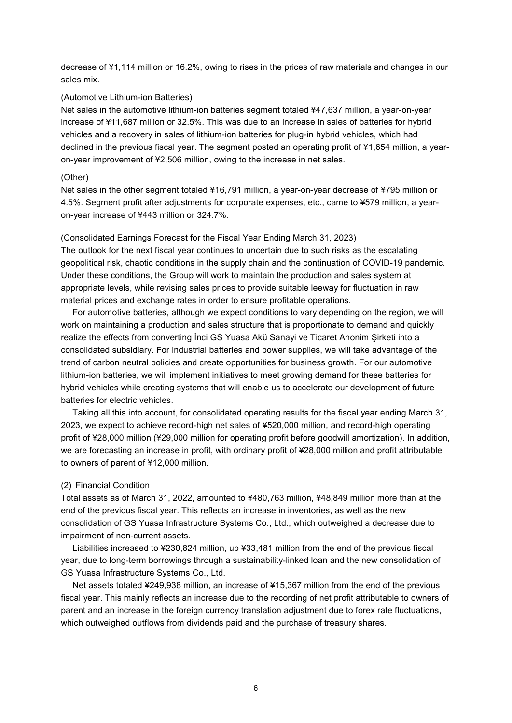decrease of ¥1,114 million or 16.2%, owing to rises in the prices of raw materials and changes in our sales mix.

#### (Automotive Lithium-ion Batteries)

Net sales in the automotive lithium-ion batteries segment totaled ¥47,637 million, a year-on-year increase of ¥11,687 million or 32.5%. This was due to an increase in sales of batteries for hybrid vehicles and a recovery in sales of lithium-ion batteries for plug-in hybrid vehicles, which had declined in the previous fiscal year. The segment posted an operating profit of ¥1,654 million, a yearon-year improvement of ¥2,506 million, owing to the increase in net sales.

#### (Other)

Net sales in the other segment totaled ¥16,791 million, a year-on-year decrease of ¥795 million or 4.5%. Segment profit after adjustments for corporate expenses, etc., came to ¥579 million, a yearon-year increase of ¥443 million or 324.7%.

#### (Consolidated Earnings Forecast for the Fiscal Year Ending March 31, 2023)

The outlook for the next fiscal year continues to uncertain due to such risks as the escalating geopolitical risk, chaotic conditions in the supply chain and the continuation of COVID-19 pandemic. Under these conditions, the Group will work to maintain the production and sales system at appropriate levels, while revising sales prices to provide suitable leeway for fluctuation in raw material prices and exchange rates in order to ensure profitable operations.

For automotive batteries, although we expect conditions to vary depending on the region, we will work on maintaining a production and sales structure that is proportionate to demand and quickly realize the effects from converting İnci GS Yuasa Akü Sanayi ve Ticaret Anonim Şirketi into a consolidated subsidiary. For industrial batteries and power supplies, we will take advantage of the trend of carbon neutral policies and create opportunities for business growth. For our automotive lithium-ion batteries, we will implement initiatives to meet growing demand for these batteries for hybrid vehicles while creating systems that will enable us to accelerate our development of future batteries for electric vehicles.

Taking all this into account, for consolidated operating results for the fiscal year ending March 31, 2023, we expect to achieve record-high net sales of ¥520,000 million, and record-high operating profit of ¥28,000 million (¥29,000 million for operating profit before goodwill amortization). In addition, we are forecasting an increase in profit, with ordinary profit of ¥28,000 million and profit attributable to owners of parent of ¥12,000 million.

#### (2) Financial Condition

Total assets as of March 31, 2022, amounted to ¥480,763 million, ¥48,849 million more than at the end of the previous fiscal year. This reflects an increase in inventories, as well as the new consolidation of GS Yuasa Infrastructure Systems Co., Ltd., which outweighed a decrease due to impairment of non-current assets.

Liabilities increased to ¥230,824 million, up ¥33,481 million from the end of the previous fiscal year, due to long-term borrowings through a sustainability-linked loan and the new consolidation of GS Yuasa Infrastructure Systems Co., Ltd.

Net assets totaled ¥249,938 million, an increase of ¥15,367 million from the end of the previous fiscal year. This mainly reflects an increase due to the recording of net profit attributable to owners of parent and an increase in the foreign currency translation adjustment due to forex rate fluctuations, which outweighed outflows from dividends paid and the purchase of treasury shares.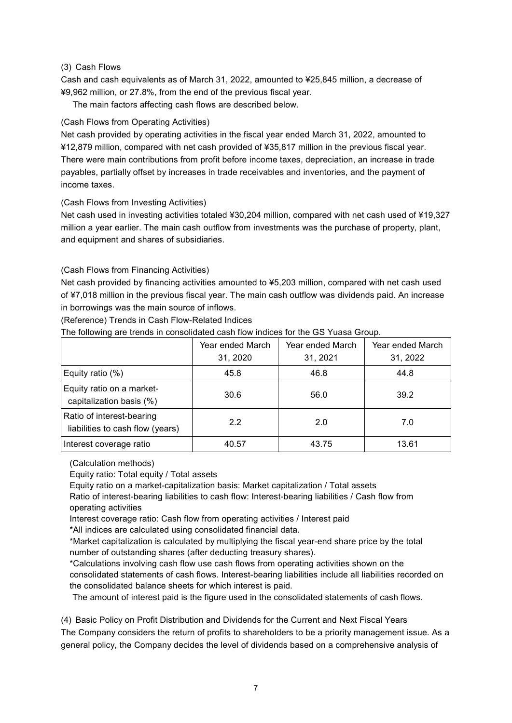## (3) Cash Flows

Cash and cash equivalents as of March 31, 2022, amounted to ¥25,845 million, a decrease of ¥9,962 million, or 27.8%, from the end of the previous fiscal year.

The main factors affecting cash flows are described below.

# (Cash Flows from Operating Activities)

Net cash provided by operating activities in the fiscal year ended March 31, 2022, amounted to ¥12,879 million, compared with net cash provided of ¥35,817 million in the previous fiscal year. There were main contributions from profit before income taxes, depreciation, an increase in trade payables, partially offset by increases in trade receivables and inventories, and the payment of income taxes.

## (Cash Flows from Investing Activities)

Net cash used in investing activities totaled ¥30,204 million, compared with net cash used of ¥19,327 million a year earlier. The main cash outflow from investments was the purchase of property, plant, and equipment and shares of subsidiaries.

## (Cash Flows from Financing Activities)

Net cash provided by financing activities amounted to ¥5,203 million, compared with net cash used of ¥7,018 million in the previous fiscal year. The main cash outflow was dividends paid. An increase in borrowings was the main source of inflows.

(Reference) Trends in Cash Flow-Related Indices

The following are trends in consolidated cash flow indices for the GS Yuasa Group.

|                                                               | Year ended March | Year ended March | Year ended March |
|---------------------------------------------------------------|------------------|------------------|------------------|
|                                                               | 31, 2020         | 31, 2021         | 31, 2022         |
| Equity ratio (%)                                              | 45.8             | 46.8             | 44.8             |
| Equity ratio on a market-<br>capitalization basis (%)         | 30.6             | 56.0             | 39.2             |
| Ratio of interest-bearing<br>liabilities to cash flow (years) | 2.2              | 2.0              | 7.0              |
| Interest coverage ratio                                       | 40.57            | 43.75            | 13.61            |

(Calculation methods)

Equity ratio: Total equity / Total assets

Equity ratio on a market-capitalization basis: Market capitalization / Total assets Ratio of interest-bearing liabilities to cash flow: Interest-bearing liabilities / Cash flow from

operating activities

Interest coverage ratio: Cash flow from operating activities / Interest paid

\*All indices are calculated using consolidated financial data.

\*Market capitalization is calculated by multiplying the fiscal year-end share price by the total number of outstanding shares (after deducting treasury shares).

\*Calculations involving cash flow use cash flows from operating activities shown on the consolidated statements of cash flows. Interest-bearing liabilities include all liabilities recorded on the consolidated balance sheets for which interest is paid.

The amount of interest paid is the figure used in the consolidated statements of cash flows.

(4) Basic Policy on Profit Distribution and Dividends for the Current and Next Fiscal Years The Company considers the return of profits to shareholders to be a priority management issue. As a general policy, the Company decides the level of dividends based on a comprehensive analysis of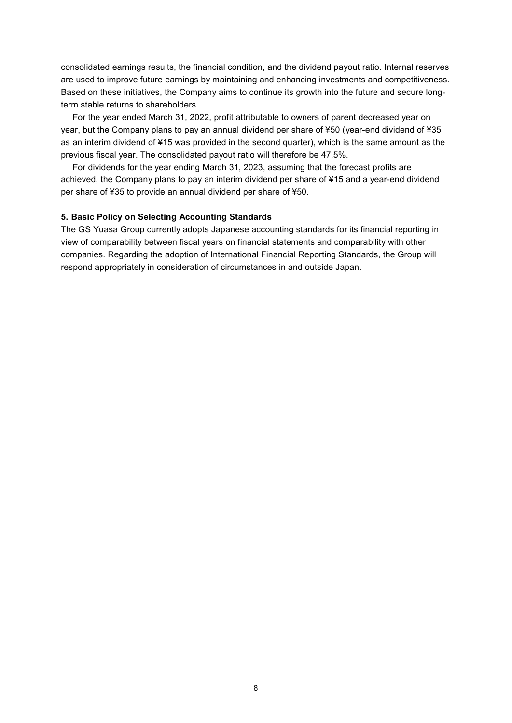consolidated earnings results, the financial condition, and the dividend payout ratio. Internal reserves are used to improve future earnings by maintaining and enhancing investments and competitiveness. Based on these initiatives, the Company aims to continue its growth into the future and secure longterm stable returns to shareholders.

For the year ended March 31, 2022, profit attributable to owners of parent decreased year on year, but the Company plans to pay an annual dividend per share of ¥50 (year-end dividend of ¥35 as an interim dividend of ¥15 was provided in the second quarter), which is the same amount as the previous fiscal year. The consolidated payout ratio will therefore be 47.5%.

For dividends for the year ending March 31, 2023, assuming that the forecast profits are achieved, the Company plans to pay an interim dividend per share of ¥15 and a year-end dividend per share of ¥35 to provide an annual dividend per share of ¥50.

### **5. Basic Policy on Selecting Accounting Standards**

The GS Yuasa Group currently adopts Japanese accounting standards for its financial reporting in view of comparability between fiscal years on financial statements and comparability with other companies. Regarding the adoption of International Financial Reporting Standards, the Group will respond appropriately in consideration of circumstances in and outside Japan.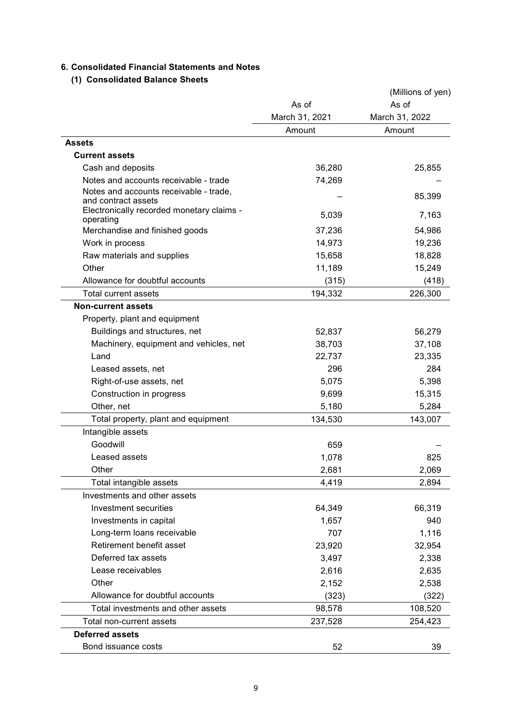# **6. Consolidated Financial Statements and Notes**

# **(1) Consolidated Balance Sheets**

|                                                                  |                | (Millions of yen) |
|------------------------------------------------------------------|----------------|-------------------|
|                                                                  | As of          | As of             |
|                                                                  | March 31, 2021 | March 31, 2022    |
|                                                                  | Amount         | Amount            |
| Assets                                                           |                |                   |
| <b>Current assets</b>                                            |                |                   |
| Cash and deposits                                                | 36,280         | 25,855            |
| Notes and accounts receivable - trade                            | 74,269         |                   |
| Notes and accounts receivable - trade,                           |                | 85,399            |
| and contract assets<br>Electronically recorded monetary claims - |                |                   |
| operating                                                        | 5,039          | 7,163             |
| Merchandise and finished goods                                   | 37,236         | 54,986            |
| Work in process                                                  | 14,973         | 19,236            |
| Raw materials and supplies                                       | 15,658         | 18,828            |
| Other                                                            | 11,189         | 15,249            |
| Allowance for doubtful accounts                                  | (315)          | (418)             |
| <b>Total current assets</b>                                      | 194,332        | 226,300           |
| <b>Non-current assets</b>                                        |                |                   |
| Property, plant and equipment                                    |                |                   |
| Buildings and structures, net                                    | 52,837         | 56,279            |
| Machinery, equipment and vehicles, net                           | 38,703         | 37,108            |
| Land                                                             | 22,737         | 23,335            |
| Leased assets, net                                               | 296            | 284               |
| Right-of-use assets, net                                         | 5,075          | 5,398             |
| Construction in progress                                         | 9,699          | 15,315            |
| Other, net                                                       | 5,180          | 5,284             |
| Total property, plant and equipment                              | 134,530        | 143,007           |
| Intangible assets                                                |                |                   |
| Goodwill                                                         | 659            |                   |
| Leased assets                                                    | 1,078          | 825               |
| Other                                                            | 2,681          | 2,069             |
| Total intangible assets                                          | 4,419          | 2,894             |
| Investments and other assets                                     |                |                   |
| Investment securities                                            | 64,349         | 66,319            |
| Investments in capital                                           | 1,657          | 940               |
| Long-term loans receivable                                       | 707            | 1,116             |
| Retirement benefit asset                                         | 23,920         | 32,954            |
| Deferred tax assets                                              | 3,497          | 2,338             |
| Lease receivables                                                | 2,616          | 2,635             |
| Other                                                            | 2,152          | 2,538             |
| Allowance for doubtful accounts                                  | (323)          | (322)             |
| Total investments and other assets                               | 98,578         | 108,520           |
| Total non-current assets                                         | 237,528        | 254,423           |
| <b>Deferred assets</b>                                           |                |                   |
| Bond issuance costs                                              | 52             | 39                |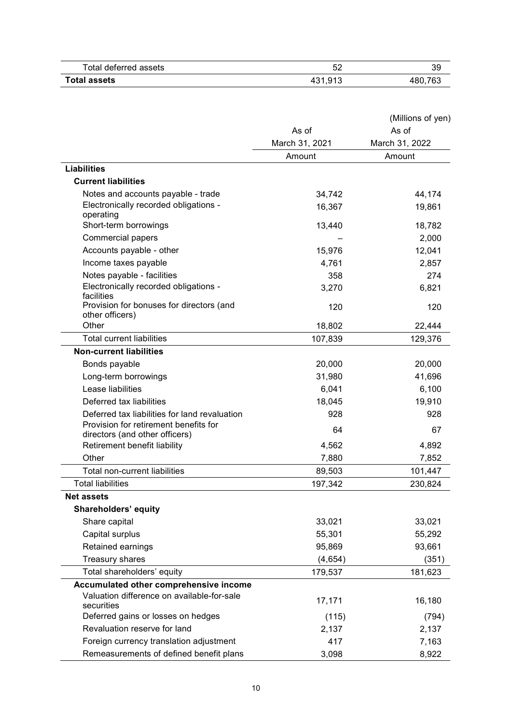| Total deferred assets | ັ       | 39      |
|-----------------------|---------|---------|
| <b>Total assets</b>   | 431,913 | 180,763 |

|                                                                         |                | (Millions of yen) |
|-------------------------------------------------------------------------|----------------|-------------------|
|                                                                         | As of          | As of             |
|                                                                         | March 31, 2021 | March 31, 2022    |
|                                                                         | Amount         | Amount            |
| <b>Liabilities</b>                                                      |                |                   |
| <b>Current liabilities</b>                                              |                |                   |
| Notes and accounts payable - trade                                      | 34,742         | 44,174            |
| Electronically recorded obligations -<br>operating                      | 16,367         | 19,861            |
| Short-term borrowings                                                   | 13,440         | 18,782            |
| <b>Commercial papers</b>                                                |                | 2,000             |
| Accounts payable - other                                                | 15,976         | 12,041            |
| Income taxes payable                                                    | 4,761          | 2,857             |
| Notes payable - facilities                                              | 358            | 274               |
| Electronically recorded obligations -<br>facilities                     | 3,270          | 6,821             |
| Provision for bonuses for directors (and<br>other officers)             | 120            | 120               |
| Other                                                                   | 18,802         | 22,444            |
| <b>Total current liabilities</b>                                        | 107,839        | 129,376           |
| <b>Non-current liabilities</b>                                          |                |                   |
| Bonds payable                                                           | 20,000         | 20,000            |
| Long-term borrowings                                                    | 31,980         | 41,696            |
| Lease liabilities                                                       | 6,041          | 6,100             |
| Deferred tax liabilities                                                | 18,045         | 19,910            |
| Deferred tax liabilities for land revaluation                           | 928            | 928               |
| Provision for retirement benefits for<br>directors (and other officers) | 64             | 67                |
| Retirement benefit liability                                            | 4,562          | 4,892             |
| Other                                                                   | 7,880          | 7,852             |
| Total non-current liabilities                                           | 89,503         | 101,447           |
| <b>Total liabilities</b>                                                | 197,342        | 230,824           |
| <b>Net assets</b>                                                       |                |                   |
| Shareholders' equity                                                    |                |                   |
| Share capital                                                           | 33,021         | 33,021            |
| Capital surplus                                                         | 55,301         | 55,292            |
| Retained earnings                                                       | 95,869         | 93,661            |
| Treasury shares                                                         | (4,654)        | (351)             |
| Total shareholders' equity                                              | 179,537        | 181,623           |
| Accumulated other comprehensive income                                  |                |                   |
| Valuation difference on available-for-sale<br>securities                | 17,171         | 16,180            |
| Deferred gains or losses on hedges                                      | (115)          | (794)             |
| Revaluation reserve for land                                            | 2,137          | 2,137             |
| Foreign currency translation adjustment                                 | 417            | 7,163             |
| Remeasurements of defined benefit plans                                 | 3,098          | 8,922             |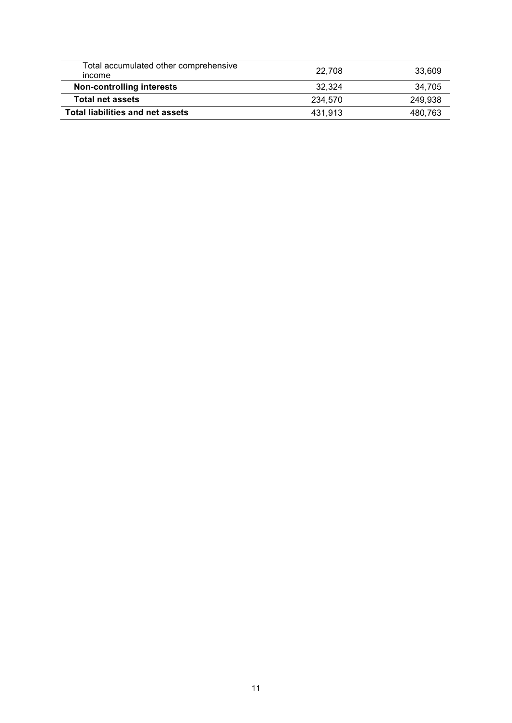| Total accumulated other comprehensive<br>income | 22.708  | 33.609  |
|-------------------------------------------------|---------|---------|
| <b>Non-controlling interests</b>                | 32.324  | 34,705  |
| <b>Total net assets</b>                         | 234.570 | 249.938 |
| <b>Total liabilities and net assets</b>         | 431.913 | 480.763 |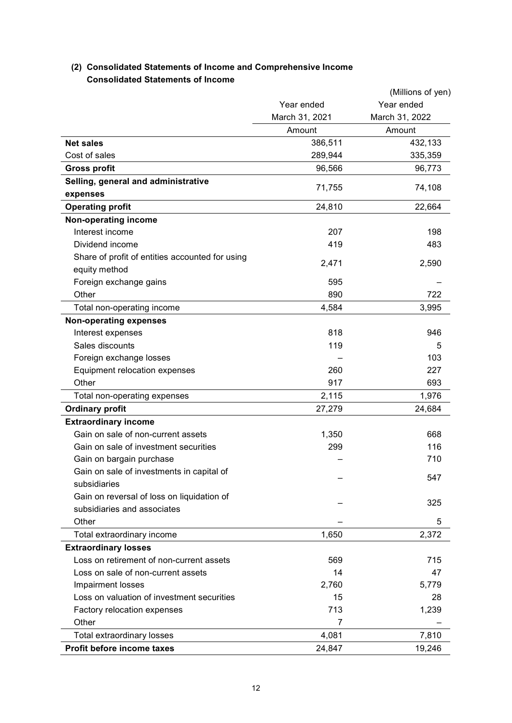# **(2) Consolidated Statements of Income and Comprehensive Income Consolidated Statements of Income**

|                                                 |                | (Millions of yen) |
|-------------------------------------------------|----------------|-------------------|
|                                                 | Year ended     | Year ended        |
|                                                 | March 31, 2021 | March 31, 2022    |
|                                                 | Amount         | Amount            |
| <b>Net sales</b>                                | 386,511        | 432,133           |
| Cost of sales                                   | 289,944        | 335,359           |
| <b>Gross profit</b>                             | 96,566         | 96,773            |
| Selling, general and administrative             | 71,755         | 74,108            |
| expenses                                        |                |                   |
| <b>Operating profit</b>                         | 24,810         | 22,664            |
| Non-operating income                            |                |                   |
| Interest income                                 | 207            | 198               |
| Dividend income                                 | 419            | 483               |
| Share of profit of entities accounted for using | 2,471          | 2,590             |
| equity method                                   |                |                   |
| Foreign exchange gains                          | 595            |                   |
| Other                                           | 890            | 722               |
| Total non-operating income                      | 4,584          | 3,995             |
| <b>Non-operating expenses</b>                   |                |                   |
| Interest expenses                               | 818            | 946               |
| Sales discounts                                 | 119            | 5                 |
| Foreign exchange losses                         |                | 103               |
| Equipment relocation expenses                   | 260            | 227               |
| Other                                           | 917            | 693               |
| Total non-operating expenses                    | 2,115          | 1,976             |
| <b>Ordinary profit</b>                          | 27,279         | 24,684            |
| <b>Extraordinary income</b>                     |                |                   |
| Gain on sale of non-current assets              | 1,350          | 668               |
| Gain on sale of investment securities           | 299            | 116               |
| Gain on bargain purchase                        |                | 710               |
| Gain on sale of investments in capital of       |                | 547               |
| subsidiaries                                    |                |                   |
| Gain on reversal of loss on liquidation of      |                | 325               |
| subsidiaries and associates                     |                |                   |
| Other                                           |                | 5                 |
| Total extraordinary income                      | 1,650          | 2,372             |
| <b>Extraordinary losses</b>                     |                |                   |
| Loss on retirement of non-current assets        | 569            | 715               |
| Loss on sale of non-current assets              | 14             | 47                |
| Impairment losses                               | 2,760          | 5,779             |
| Loss on valuation of investment securities      | 15             | 28                |
| Factory relocation expenses                     | 713            | 1,239             |
| Other                                           | 7              |                   |
| Total extraordinary losses                      | 4,081          | 7,810             |
| Profit before income taxes                      | 24,847         | 19,246            |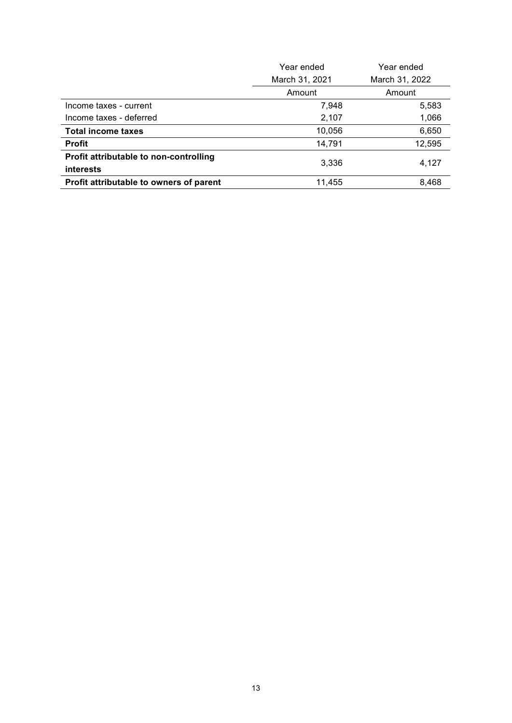|                                         | Year ended     | Year ended     |
|-----------------------------------------|----------------|----------------|
|                                         | March 31, 2021 | March 31, 2022 |
|                                         | Amount         | Amount         |
| Income taxes - current                  | 7,948          | 5,583          |
| Income taxes - deferred                 | 2,107          | 1,066          |
| <b>Total income taxes</b>               | 10,056         | 6,650          |
| <b>Profit</b>                           | 14,791         | 12,595         |
| Profit attributable to non-controlling  | 3,336          | 4,127          |
| <b>interests</b>                        |                |                |
| Profit attributable to owners of parent | 11,455         | 8,468          |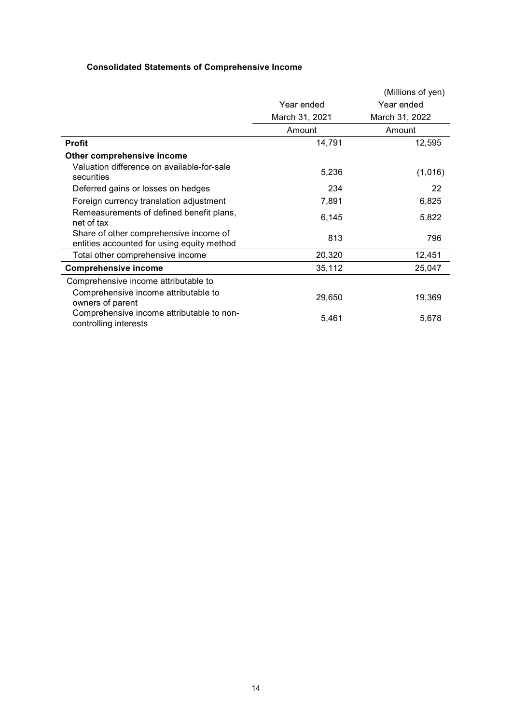# **Consolidated Statements of Comprehensive Income**

|                                                                                      |                | (Millions of yen) |
|--------------------------------------------------------------------------------------|----------------|-------------------|
|                                                                                      | Year ended     | Year ended        |
|                                                                                      | March 31, 2021 | March 31, 2022    |
|                                                                                      | Amount         | Amount            |
| <b>Profit</b>                                                                        | 14,791         | 12,595            |
| Other comprehensive income                                                           |                |                   |
| Valuation difference on available-for-sale<br>securities                             | 5,236          | (1,016)           |
| Deferred gains or losses on hedges                                                   | 234            | 22                |
| Foreign currency translation adjustment                                              | 7,891          | 6,825             |
| Remeasurements of defined benefit plans,<br>net of tax                               | 6,145          | 5,822             |
| Share of other comprehensive income of<br>entities accounted for using equity method | 813            | 796               |
| Total other comprehensive income                                                     | 20,320         | 12,451            |
| <b>Comprehensive income</b>                                                          | 35,112         | 25,047            |
| Comprehensive income attributable to                                                 |                |                   |
| Comprehensive income attributable to<br>owners of parent                             | 29,650         | 19,369            |
| Comprehensive income attributable to non-<br>controlling interests                   | 5,461          | 5,678             |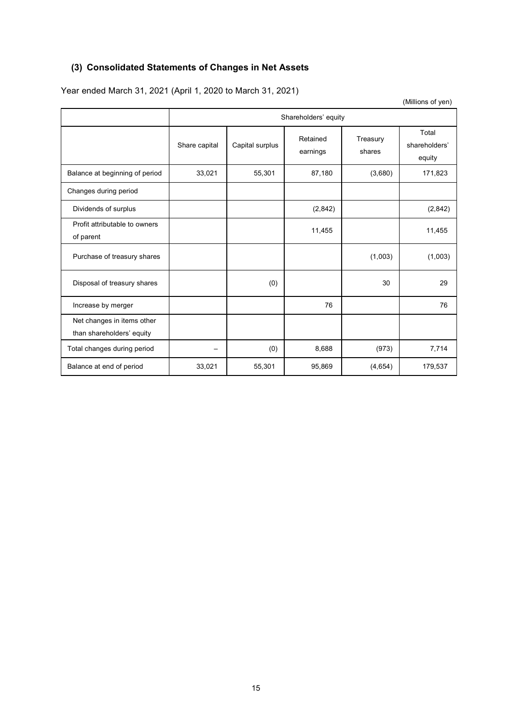# **(3) Consolidated Statements of Changes in Net Assets**

Year ended March 31, 2021 (April 1, 2020 to March 31, 2021)

(Millions of yen)

|                                                         | Shareholders' equity |                 |                      |                    |                                  |  |  |
|---------------------------------------------------------|----------------------|-----------------|----------------------|--------------------|----------------------------------|--|--|
|                                                         | Share capital        | Capital surplus | Retained<br>earnings | Treasury<br>shares | Total<br>shareholders'<br>equity |  |  |
| Balance at beginning of period                          | 33,021               | 55,301          | 87,180               | (3,680)            | 171,823                          |  |  |
| Changes during period                                   |                      |                 |                      |                    |                                  |  |  |
| Dividends of surplus                                    |                      |                 | (2,842)              |                    | (2,842)                          |  |  |
| Profit attributable to owners<br>of parent              |                      |                 | 11,455               |                    | 11,455                           |  |  |
| Purchase of treasury shares                             |                      |                 |                      | (1,003)            | (1,003)                          |  |  |
| Disposal of treasury shares                             |                      | (0)             |                      | 30                 | 29                               |  |  |
| Increase by merger                                      |                      |                 | 76                   |                    | 76                               |  |  |
| Net changes in items other<br>than shareholders' equity |                      |                 |                      |                    |                                  |  |  |
| Total changes during period                             | —                    | (0)             | 8,688                | (973)              | 7,714                            |  |  |
| Balance at end of period                                | 33,021               | 55,301          | 95,869               | (4,654)            | 179,537                          |  |  |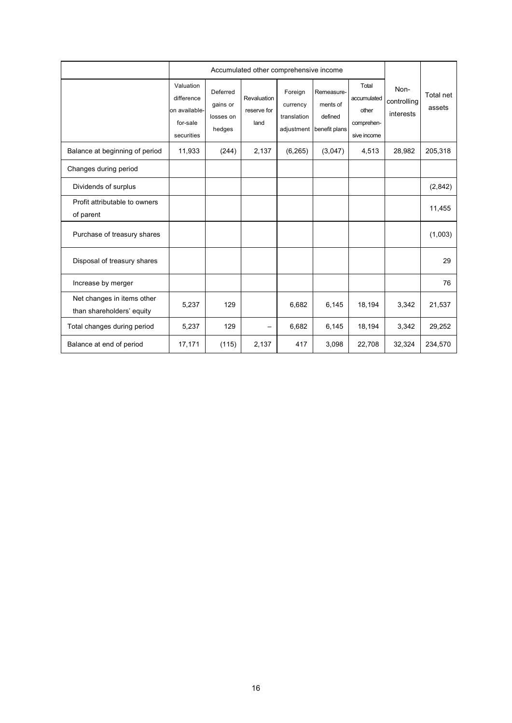|                                                         |                                                                    | Accumulated other comprehensive income      |                                    |                                                  |                                                    |                                                            |                                  |                     |
|---------------------------------------------------------|--------------------------------------------------------------------|---------------------------------------------|------------------------------------|--------------------------------------------------|----------------------------------------------------|------------------------------------------------------------|----------------------------------|---------------------|
|                                                         | Valuation<br>difference<br>on available-<br>for-sale<br>securities | Deferred<br>gains or<br>losses on<br>hedges | Revaluation<br>reserve for<br>land | Foreign<br>currency<br>translation<br>adjustment | Remeasure-<br>ments of<br>defined<br>benefit plans | Total<br>accumulated<br>other<br>comprehen-<br>sive income | Non-<br>controlling<br>interests | Total net<br>assets |
| Balance at beginning of period                          | 11,933                                                             | (244)                                       | 2,137                              | (6, 265)                                         | (3,047)                                            | 4,513                                                      | 28,982                           | 205,318             |
| Changes during period                                   |                                                                    |                                             |                                    |                                                  |                                                    |                                                            |                                  |                     |
| Dividends of surplus                                    |                                                                    |                                             |                                    |                                                  |                                                    |                                                            |                                  | (2,842)             |
| Profit attributable to owners<br>of parent              |                                                                    |                                             |                                    |                                                  |                                                    |                                                            |                                  | 11,455              |
| Purchase of treasury shares                             |                                                                    |                                             |                                    |                                                  |                                                    |                                                            |                                  | (1,003)             |
| Disposal of treasury shares                             |                                                                    |                                             |                                    |                                                  |                                                    |                                                            |                                  | 29                  |
| Increase by merger                                      |                                                                    |                                             |                                    |                                                  |                                                    |                                                            |                                  | 76                  |
| Net changes in items other<br>than shareholders' equity | 5,237                                                              | 129                                         |                                    | 6,682                                            | 6,145                                              | 18,194                                                     | 3,342                            | 21,537              |
| Total changes during period                             | 5,237                                                              | 129                                         |                                    | 6,682                                            | 6,145                                              | 18,194                                                     | 3,342                            | 29,252              |
| Balance at end of period                                | 17,171                                                             | (115)                                       | 2,137                              | 417                                              | 3,098                                              | 22,708                                                     | 32,324                           | 234,570             |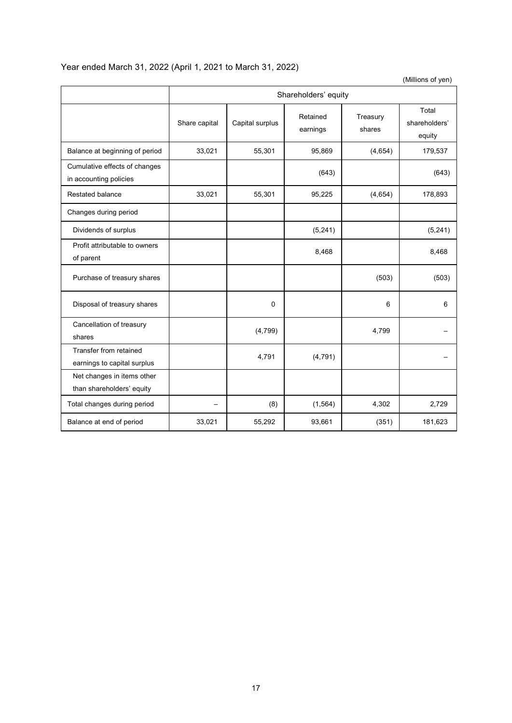# Year ended March 31, 2022 (April 1, 2021 to March 31, 2022)

(Millions of yen)

|                                                         | Shareholders' equity |                 |                      |                    |                                  |  |
|---------------------------------------------------------|----------------------|-----------------|----------------------|--------------------|----------------------------------|--|
|                                                         | Share capital        | Capital surplus | Retained<br>earnings | Treasury<br>shares | Total<br>shareholders'<br>equity |  |
| Balance at beginning of period                          | 33,021               | 55,301          | 95,869               | (4,654)            | 179,537                          |  |
| Cumulative effects of changes<br>in accounting policies |                      |                 | (643)                |                    | (643)                            |  |
| <b>Restated balance</b>                                 | 33,021               | 55,301          | 95,225               | (4,654)            | 178,893                          |  |
| Changes during period                                   |                      |                 |                      |                    |                                  |  |
| Dividends of surplus                                    |                      |                 | (5, 241)             |                    | (5, 241)                         |  |
| Profit attributable to owners<br>of parent              |                      |                 | 8,468                |                    | 8,468                            |  |
| Purchase of treasury shares                             |                      |                 |                      | (503)              | (503)                            |  |
| Disposal of treasury shares                             |                      | 0               |                      | 6                  | 6                                |  |
| Cancellation of treasury<br>shares                      |                      | (4, 799)        |                      | 4,799              |                                  |  |
| Transfer from retained<br>earnings to capital surplus   |                      | 4,791           | (4, 791)             |                    |                                  |  |
| Net changes in items other<br>than shareholders' equity |                      |                 |                      |                    |                                  |  |
| Total changes during period                             |                      | (8)             | (1, 564)             | 4,302              | 2,729                            |  |
| Balance at end of period                                | 33,021               | 55,292          | 93,661               | (351)              | 181,623                          |  |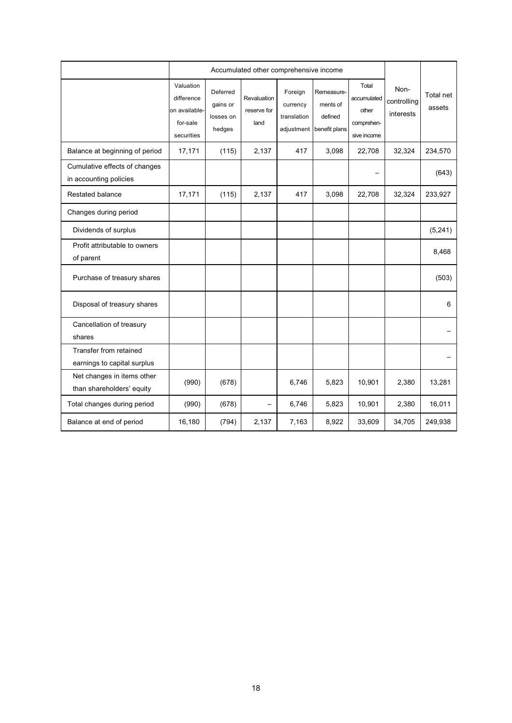|                                                         |                                                                    | Accumulated other comprehensive income      |                                    |                                                  |                                                    |                                                            |                                  |                     |
|---------------------------------------------------------|--------------------------------------------------------------------|---------------------------------------------|------------------------------------|--------------------------------------------------|----------------------------------------------------|------------------------------------------------------------|----------------------------------|---------------------|
|                                                         | Valuation<br>difference<br>on available-<br>for-sale<br>securities | Deferred<br>gains or<br>losses on<br>hedges | Revaluation<br>reserve for<br>land | Foreign<br>currency<br>translation<br>adjustment | Remeasure-<br>ments of<br>defined<br>benefit plans | Total<br>accumulated<br>other<br>comprehen-<br>sive income | Non-<br>controlling<br>interests | Total net<br>assets |
| Balance at beginning of period                          | 17,171                                                             | (115)                                       | 2,137                              | 417                                              | 3,098                                              | 22,708                                                     | 32,324                           | 234,570             |
| Cumulative effects of changes<br>in accounting policies |                                                                    |                                             |                                    |                                                  |                                                    |                                                            |                                  | (643)               |
| <b>Restated balance</b>                                 | 17,171                                                             | (115)                                       | 2,137                              | 417                                              | 3,098                                              | 22,708                                                     | 32,324                           | 233,927             |
| Changes during period                                   |                                                                    |                                             |                                    |                                                  |                                                    |                                                            |                                  |                     |
| Dividends of surplus                                    |                                                                    |                                             |                                    |                                                  |                                                    |                                                            |                                  | (5, 241)            |
| Profit attributable to owners<br>of parent              |                                                                    |                                             |                                    |                                                  |                                                    |                                                            |                                  | 8,468               |
| Purchase of treasury shares                             |                                                                    |                                             |                                    |                                                  |                                                    |                                                            |                                  | (503)               |
| Disposal of treasury shares                             |                                                                    |                                             |                                    |                                                  |                                                    |                                                            |                                  | 6                   |
| Cancellation of treasury<br>shares                      |                                                                    |                                             |                                    |                                                  |                                                    |                                                            |                                  |                     |
| Transfer from retained<br>earnings to capital surplus   |                                                                    |                                             |                                    |                                                  |                                                    |                                                            |                                  |                     |
| Net changes in items other<br>than shareholders' equity | (990)                                                              | (678)                                       |                                    | 6,746                                            | 5,823                                              | 10,901                                                     | 2,380                            | 13,281              |
| Total changes during period                             | (990)                                                              | (678)                                       | $\overline{\phantom{0}}$           | 6,746                                            | 5,823                                              | 10,901                                                     | 2,380                            | 16,011              |
| Balance at end of period                                | 16,180                                                             | (794)                                       | 2,137                              | 7,163                                            | 8,922                                              | 33,609                                                     | 34,705                           | 249,938             |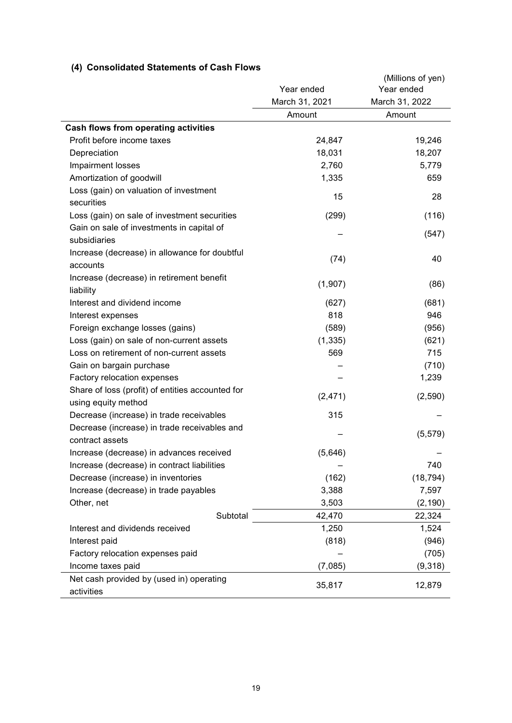# **(4) Consolidated Statements of Cash Flows**

|                                                                 | Year ended     | (Millions of yen)<br>Year ended |
|-----------------------------------------------------------------|----------------|---------------------------------|
|                                                                 | March 31, 2021 | March 31, 2022                  |
|                                                                 | Amount         | Amount                          |
| Cash flows from operating activities                            |                |                                 |
| Profit before income taxes                                      | 24,847         | 19,246                          |
| Depreciation                                                    | 18,031         | 18,207                          |
| Impairment losses                                               | 2,760          | 5,779                           |
| Amortization of goodwill                                        | 1,335          | 659                             |
| Loss (gain) on valuation of investment                          |                |                                 |
| securities                                                      | 15             | 28                              |
| Loss (gain) on sale of investment securities                    | (299)          | (116)                           |
| Gain on sale of investments in capital of                       |                |                                 |
| subsidiaries                                                    |                | (547)                           |
| Increase (decrease) in allowance for doubtful                   |                |                                 |
| accounts                                                        | (74)           | 40                              |
| Increase (decrease) in retirement benefit                       |                |                                 |
| liability                                                       | (1,907)        | (86)                            |
| Interest and dividend income                                    | (627)          | (681)                           |
| Interest expenses                                               | 818            | 946                             |
| Foreign exchange losses (gains)                                 | (589)          | (956)                           |
| Loss (gain) on sale of non-current assets                       | (1, 335)       | (621)                           |
| Loss on retirement of non-current assets                        | 569            | 715                             |
| Gain on bargain purchase                                        |                | (710)                           |
| Factory relocation expenses                                     |                | 1,239                           |
| Share of loss (profit) of entities accounted for                | (2, 471)       | (2,590)                         |
| using equity method                                             |                |                                 |
| Decrease (increase) in trade receivables                        | 315            |                                 |
| Decrease (increase) in trade receivables and<br>contract assets |                | (5, 579)                        |
| Increase (decrease) in advances received                        | (5,646)        |                                 |
| Increase (decrease) in contract liabilities                     |                | 740                             |
| Decrease (increase) in inventories                              | (162)          | (18, 794)                       |
| Increase (decrease) in trade payables                           | 3,388          | 7,597                           |
| Other, net                                                      | 3,503          | (2, 190)                        |
| Subtotal                                                        | 42,470         | 22,324                          |
| Interest and dividends received                                 | 1,250          | 1,524                           |
| Interest paid                                                   | (818)          | (946)                           |
| Factory relocation expenses paid                                |                | (705)                           |
| Income taxes paid                                               | (7,085)        | (9,318)                         |
| Net cash provided by (used in) operating                        |                |                                 |
| activities                                                      | 35,817         | 12,879                          |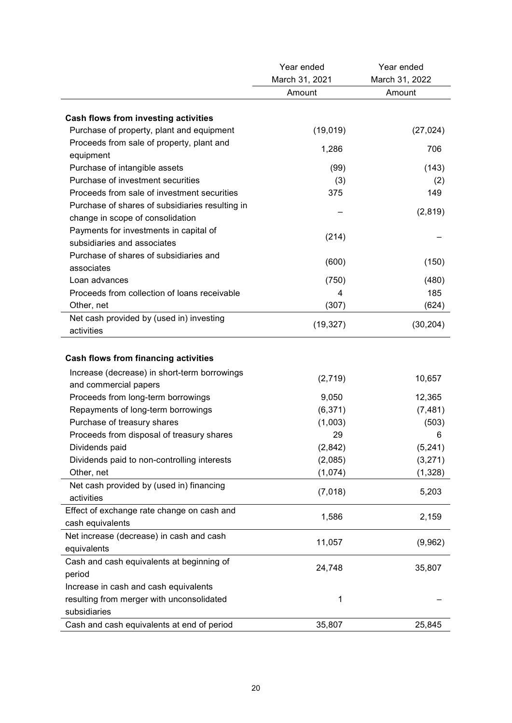|                                                 | Year ended     | Year ended     |
|-------------------------------------------------|----------------|----------------|
|                                                 | March 31, 2021 | March 31, 2022 |
|                                                 | Amount         | Amount         |
|                                                 |                |                |
| <b>Cash flows from investing activities</b>     |                |                |
| Purchase of property, plant and equipment       | (19,019)       | (27, 024)      |
| Proceeds from sale of property, plant and       | 1,286          | 706            |
| equipment                                       |                |                |
| Purchase of intangible assets                   | (99)           | (143)          |
| Purchase of investment securities               | (3)            | (2)            |
| Proceeds from sale of investment securities     | 375            | 149            |
| Purchase of shares of subsidiaries resulting in |                | (2,819)        |
| change in scope of consolidation                |                |                |
| Payments for investments in capital of          | (214)          |                |
| subsidiaries and associates                     |                |                |
| Purchase of shares of subsidiaries and          | (600)          | (150)          |
| associates                                      |                |                |
| Loan advances                                   | (750)          | (480)          |
| Proceeds from collection of loans receivable    | 4              | 185            |
| Other, net                                      | (307)          | (624)          |
| Net cash provided by (used in) investing        |                |                |
| activities                                      | (19, 327)      | (30, 204)      |
| <b>Cash flows from financing activities</b>     |                |                |
| Increase (decrease) in short-term borrowings    |                |                |
| and commercial papers                           | (2,719)        | 10,657         |
| Proceeds from long-term borrowings              | 9,050          | 12,365         |
| Repayments of long-term borrowings              | (6, 371)       |                |
|                                                 |                | (7, 481)       |
| Purchase of treasury shares                     | (1,003)        | (503)          |
| Proceeds from disposal of treasury shares       | 29             | 6              |
| Dividends paid                                  | (2, 842)       | (5, 241)       |
| Dividends paid to non-controlling interests     | (2,085)        | (3,271)        |
| Other, net                                      | (1,074)        | (1, 328)       |
| Net cash provided by (used in) financing        | (7,018)        | 5,203          |
| activities                                      |                |                |
| Effect of exchange rate change on cash and      | 1,586          | 2,159          |
| cash equivalents                                |                |                |
| Net increase (decrease) in cash and cash        | 11,057         | (9,962)        |
| equivalents                                     |                |                |
| Cash and cash equivalents at beginning of       | 24,748         | 35,807         |
| period                                          |                |                |
| Increase in cash and cash equivalents           |                |                |
| resulting from merger with unconsolidated       | 1              |                |
| subsidiaries                                    |                |                |
| Cash and cash equivalents at end of period      | 35,807         | 25,845         |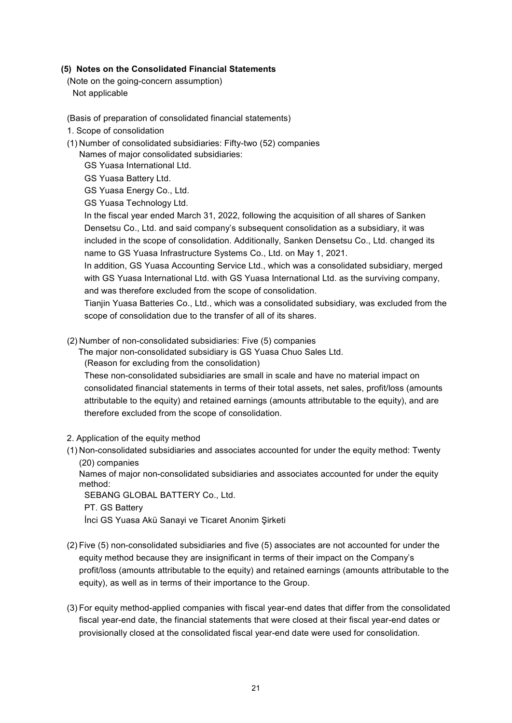### **(5) Notes on the Consolidated Financial Statements**

(Note on the going-concern assumption)

Not applicable

- (Basis of preparation of consolidated financial statements)
- 1. Scope of consolidation
- (1) Number of consolidated subsidiaries: Fifty-two (52) companies

Names of major consolidated subsidiaries:

GS Yuasa International Ltd.

GS Yuasa Battery Ltd.

GS Yuasa Energy Co., Ltd.

GS Yuasa Technology Ltd.

In the fiscal year ended March 31, 2022, following the acquisition of all shares of Sanken Densetsu Co., Ltd. and said company's subsequent consolidation as a subsidiary, it was included in the scope of consolidation. Additionally, Sanken Densetsu Co., Ltd. changed its name to GS Yuasa Infrastructure Systems Co., Ltd. on May 1, 2021.

In addition, GS Yuasa Accounting Service Ltd., which was a consolidated subsidiary, merged with GS Yuasa International Ltd. with GS Yuasa International Ltd. as the surviving company, and was therefore excluded from the scope of consolidation.

Tianjin Yuasa Batteries Co., Ltd., which was a consolidated subsidiary, was excluded from the scope of consolidation due to the transfer of all of its shares.

- (2) Number of non-consolidated subsidiaries: Five (5) companies
	- The major non-consolidated subsidiary is GS Yuasa Chuo Sales Ltd.

(Reason for excluding from the consolidation)

These non-consolidated subsidiaries are small in scale and have no material impact on consolidated financial statements in terms of their total assets, net sales, profit/loss (amounts attributable to the equity) and retained earnings (amounts attributable to the equity), and are therefore excluded from the scope of consolidation.

2. Application of the equity method

(1) Non-consolidated subsidiaries and associates accounted for under the equity method: Twenty (20) companies

Names of major non-consolidated subsidiaries and associates accounted for under the equity method:

SEBANG GLOBAL BATTERY Co., Ltd.

PT. GS Battery

İnci GS Yuasa Akü Sanayi ve Ticaret Anonim Şirketi

- (2) Five (5) non-consolidated subsidiaries and five (5) associates are not accounted for under the equity method because they are insignificant in terms of their impact on the Company's profit/loss (amounts attributable to the equity) and retained earnings (amounts attributable to the equity), as well as in terms of their importance to the Group.
- (3) For equity method-applied companies with fiscal year-end dates that differ from the consolidated fiscal year-end date, the financial statements that were closed at their fiscal year-end dates or provisionally closed at the consolidated fiscal year-end date were used for consolidation.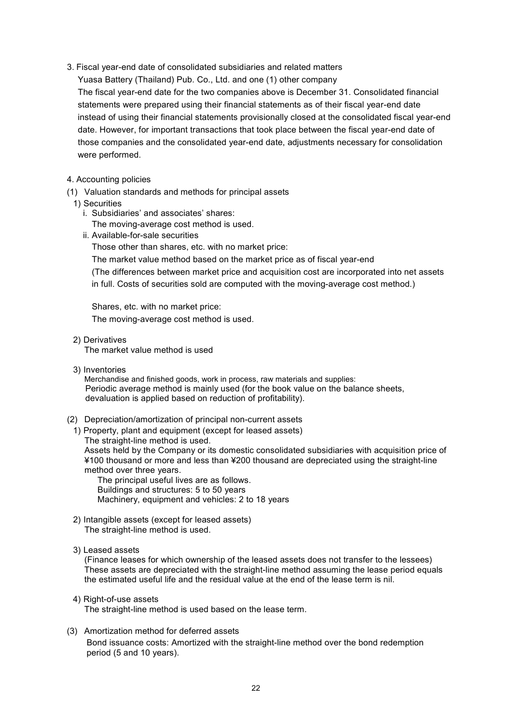3. Fiscal year-end date of consolidated subsidiaries and related matters

Yuasa Battery (Thailand) Pub. Co., Ltd. and one (1) other company

The fiscal year-end date for the two companies above is December 31. Consolidated financial statements were prepared using their financial statements as of their fiscal year-end date instead of using their financial statements provisionally closed at the consolidated fiscal year-end date. However, for important transactions that took place between the fiscal year-end date of those companies and the consolidated year-end date, adjustments necessary for consolidation were performed.

- 4. Accounting policies
- (1) Valuation standards and methods for principal assets

## 1) Securities

- i. Subsidiaries' and associates' shares:
- The moving-average cost method is used.
- ii. Available-for-sale securities

Those other than shares, etc. with no market price:

The market value method based on the market price as of fiscal year-end

(The differences between market price and acquisition cost are incorporated into net assets in full. Costs of securities sold are computed with the moving-average cost method.)

Shares, etc. with no market price: The moving-average cost method is used.

2) Derivatives

The market value method is used

3) Inventories

Merchandise and finished goods, work in process, raw materials and supplies: Periodic average method is mainly used (for the book value on the balance sheets, devaluation is applied based on reduction of profitability).

- (2) Depreciation/amortization of principal non-current assets
	- 1) Property, plant and equipment (except for leased assets) The straight-line method is used.

Assets held by the Company or its domestic consolidated subsidiaries with acquisition price of ¥100 thousand or more and less than ¥200 thousand are depreciated using the straight-line method over three years.

The principal useful lives are as follows. Buildings and structures: 5 to 50 years Machinery, equipment and vehicles: 2 to 18 years

- 2) Intangible assets (except for leased assets) The straight-line method is used.
- 3) Leased assets

(Finance leases for which ownership of the leased assets does not transfer to the lessees) These assets are depreciated with the straight-line method assuming the lease period equals the estimated useful life and the residual value at the end of the lease term is nil.

### 4) Right-of-use assets

The straight-line method is used based on the lease term.

### (3) Amortization method for deferred assets

Bond issuance costs: Amortized with the straight-line method over the bond redemption period (5 and 10 years).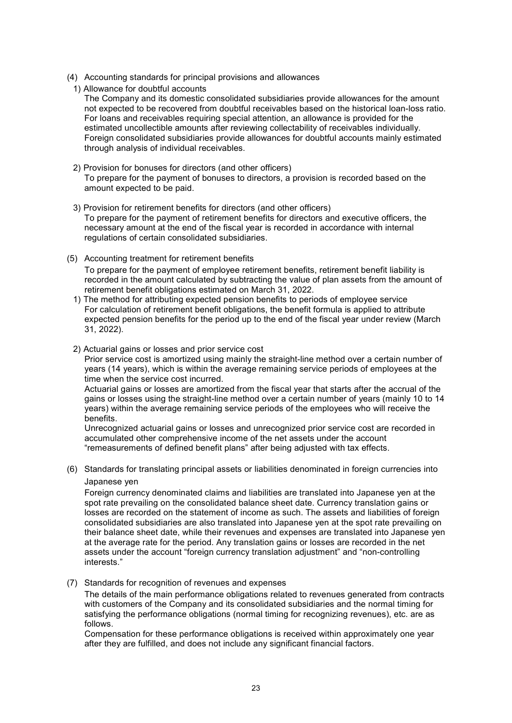- (4) Accounting standards for principal provisions and allowances
- 1) Allowance for doubtful accounts

The Company and its domestic consolidated subsidiaries provide allowances for the amount not expected to be recovered from doubtful receivables based on the historical loan-loss ratio. For loans and receivables requiring special attention, an allowance is provided for the estimated uncollectible amounts after reviewing collectability of receivables individually. Foreign consolidated subsidiaries provide allowances for doubtful accounts mainly estimated through analysis of individual receivables.

- 2) Provision for bonuses for directors (and other officers) To prepare for the payment of bonuses to directors, a provision is recorded based on the amount expected to be paid.
- 3) Provision for retirement benefits for directors (and other officers) To prepare for the payment of retirement benefits for directors and executive officers, the necessary amount at the end of the fiscal year is recorded in accordance with internal regulations of certain consolidated subsidiaries.
- (5) Accounting treatment for retirement benefits To prepare for the payment of employee retirement benefits, retirement benefit liability is recorded in the amount calculated by subtracting the value of plan assets from the amount of retirement benefit obligations estimated on March 31, 2022.
	- 1) The method for attributing expected pension benefits to periods of employee service For calculation of retirement benefit obligations, the benefit formula is applied to attribute expected pension benefits for the period up to the end of the fiscal year under review (March 31, 2022).
	- 2) Actuarial gains or losses and prior service cost

Prior service cost is amortized using mainly the straight-line method over a certain number of years (14 years), which is within the average remaining service periods of employees at the time when the service cost incurred.

Actuarial gains or losses are amortized from the fiscal year that starts after the accrual of the gains or losses using the straight-line method over a certain number of years (mainly 10 to 14 years) within the average remaining service periods of the employees who will receive the benefits.

Unrecognized actuarial gains or losses and unrecognized prior service cost are recorded in accumulated other comprehensive income of the net assets under the account "remeasurements of defined benefit plans" after being adjusted with tax effects.

(6) Standards for translating principal assets or liabilities denominated in foreign currencies into Japanese yen

Foreign currency denominated claims and liabilities are translated into Japanese yen at the spot rate prevailing on the consolidated balance sheet date. Currency translation gains or losses are recorded on the statement of income as such. The assets and liabilities of foreign consolidated subsidiaries are also translated into Japanese yen at the spot rate prevailing on their balance sheet date, while their revenues and expenses are translated into Japanese yen at the average rate for the period. Any translation gains or losses are recorded in the net assets under the account "foreign currency translation adjustment" and "non-controlling interests."

(7) Standards for recognition of revenues and expenses

The details of the main performance obligations related to revenues generated from contracts with customers of the Company and its consolidated subsidiaries and the normal timing for satisfying the performance obligations (normal timing for recognizing revenues), etc. are as follows.

Compensation for these performance obligations is received within approximately one year after they are fulfilled, and does not include any significant financial factors.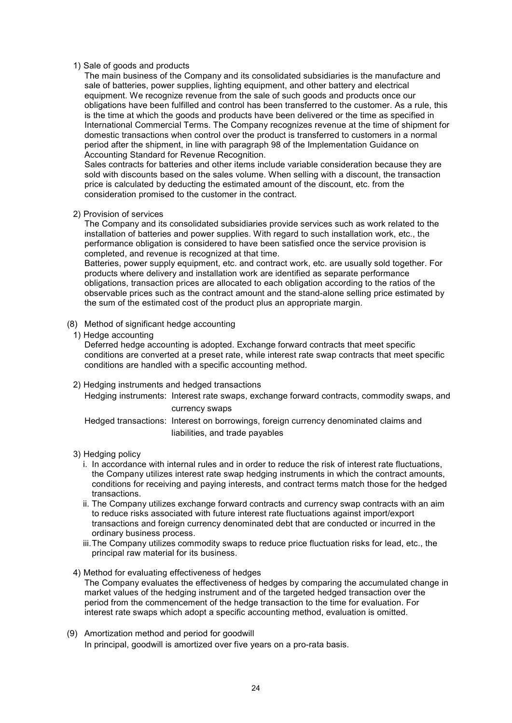### 1) Sale of goods and products

The main business of the Company and its consolidated subsidiaries is the manufacture and sale of batteries, power supplies, lighting equipment, and other battery and electrical equipment. We recognize revenue from the sale of such goods and products once our obligations have been fulfilled and control has been transferred to the customer. As a rule, this is the time at which the goods and products have been delivered or the time as specified in International Commercial Terms. The Company recognizes revenue at the time of shipment for domestic transactions when control over the product is transferred to customers in a normal period after the shipment, in line with paragraph 98 of the Implementation Guidance on Accounting Standard for Revenue Recognition.

Sales contracts for batteries and other items include variable consideration because they are sold with discounts based on the sales volume. When selling with a discount, the transaction price is calculated by deducting the estimated amount of the discount, etc. from the consideration promised to the customer in the contract.

### 2) Provision of services

The Company and its consolidated subsidiaries provide services such as work related to the installation of batteries and power supplies. With regard to such installation work, etc., the performance obligation is considered to have been satisfied once the service provision is completed, and revenue is recognized at that time.

Batteries, power supply equipment, etc. and contract work, etc. are usually sold together. For products where delivery and installation work are identified as separate performance obligations, transaction prices are allocated to each obligation according to the ratios of the observable prices such as the contract amount and the stand-alone selling price estimated by the sum of the estimated cost of the product plus an appropriate margin.

- (8) Method of significant hedge accounting
	- 1) Hedge accounting

Deferred hedge accounting is adopted. Exchange forward contracts that meet specific conditions are converted at a preset rate, while interest rate swap contracts that meet specific conditions are handled with a specific accounting method.

# 2) Hedging instruments and hedged transactions Hedging instruments: Interest rate swaps, exchange forward contracts, commodity swaps, and currency swaps Hedged transactions: Interest on borrowings, foreign currency denominated claims and

liabilities, and trade payables

- 3) Hedging policy
	- i. In accordance with internal rules and in order to reduce the risk of interest rate fluctuations, the Company utilizes interest rate swap hedging instruments in which the contract amounts, conditions for receiving and paying interests, and contract terms match those for the hedged transactions.
	- ii. The Company utilizes exchange forward contracts and currency swap contracts with an aim to reduce risks associated with future interest rate fluctuations against import/export transactions and foreign currency denominated debt that are conducted or incurred in the ordinary business process.
	- iii.The Company utilizes commodity swaps to reduce price fluctuation risks for lead, etc., the principal raw material for its business.
- 4) Method for evaluating effectiveness of hedges The Company evaluates the effectiveness of hedges by comparing the accumulated change in market values of the hedging instrument and of the targeted hedged transaction over the period from the commencement of the hedge transaction to the time for evaluation. For interest rate swaps which adopt a specific accounting method, evaluation is omitted.
- (9) Amortization method and period for goodwill In principal, goodwill is amortized over five years on a pro-rata basis.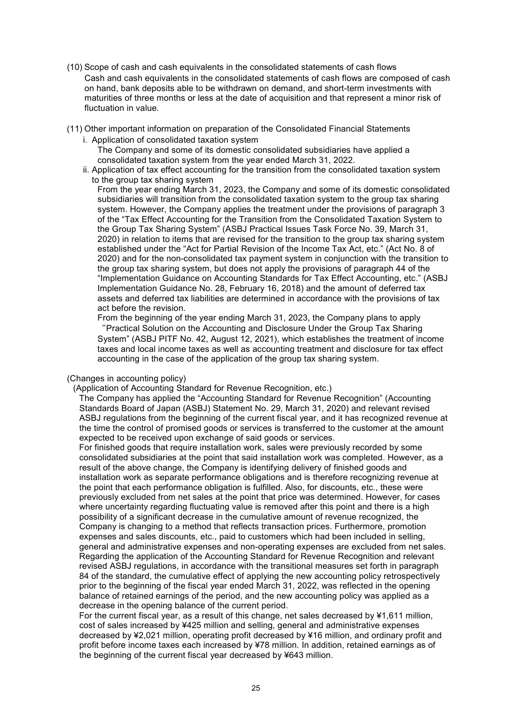- (10) Scope of cash and cash equivalents in the consolidated statements of cash flows Cash and cash equivalents in the consolidated statements of cash flows are composed of cash on hand, bank deposits able to be withdrawn on demand, and short-term investments with maturities of three months or less at the date of acquisition and that represent a minor risk of fluctuation in value.
- (11) Other important information on preparation of the Consolidated Financial Statements
	- i. Application of consolidated taxation system

The Company and some of its domestic consolidated subsidiaries have applied a consolidated taxation system from the year ended March 31, 2022.

ii. Application of tax effect accounting for the transition from the consolidated taxation system to the group tax sharing system

From the year ending March 31, 2023, the Company and some of its domestic consolidated subsidiaries will transition from the consolidated taxation system to the group tax sharing system. However, the Company applies the treatment under the provisions of paragraph 3 of the "Tax Effect Accounting for the Transition from the Consolidated Taxation System to the Group Tax Sharing System" (ASBJ Practical Issues Task Force No. 39, March 31, 2020) in relation to items that are revised for the transition to the group tax sharing system established under the "Act for Partial Revision of the Income Tax Act, etc." (Act No. 8 of 2020) and for the non-consolidated tax payment system in conjunction with the transition to the group tax sharing system, but does not apply the provisions of paragraph 44 of the "Implementation Guidance on Accounting Standards for Tax Effect Accounting, etc." (ASBJ Implementation Guidance No. 28, February 16, 2018) and the amount of deferred tax assets and deferred tax liabilities are determined in accordance with the provisions of tax act before the revision.

From the beginning of the year ending March 31, 2023, the Company plans to apply "Practical Solution on the Accounting and Disclosure Under the Group Tax Sharing System" (ASBJ PITF No. 42, August 12, 2021), which establishes the treatment of income taxes and local income taxes as well as accounting treatment and disclosure for tax effect accounting in the case of the application of the group tax sharing system.

#### (Changes in accounting policy)

(Application of Accounting Standard for Revenue Recognition, etc.)

The Company has applied the "Accounting Standard for Revenue Recognition" (Accounting Standards Board of Japan (ASBJ) Statement No. 29, March 31, 2020) and relevant revised ASBJ regulations from the beginning of the current fiscal year, and it has recognized revenue at the time the control of promised goods or services is transferred to the customer at the amount expected to be received upon exchange of said goods or services.

For finished goods that require installation work, sales were previously recorded by some consolidated subsidiaries at the point that said installation work was completed. However, as a result of the above change, the Company is identifying delivery of finished goods and installation work as separate performance obligations and is therefore recognizing revenue at the point that each performance obligation is fulfilled. Also, for discounts, etc., these were previously excluded from net sales at the point that price was determined. However, for cases where uncertainty regarding fluctuating value is removed after this point and there is a high possibility of a significant decrease in the cumulative amount of revenue recognized, the Company is changing to a method that reflects transaction prices. Furthermore, promotion expenses and sales discounts, etc., paid to customers which had been included in selling, general and administrative expenses and non-operating expenses are excluded from net sales. Regarding the application of the Accounting Standard for Revenue Recognition and relevant revised ASBJ regulations, in accordance with the transitional measures set forth in paragraph 84 of the standard, the cumulative effect of applying the new accounting policy retrospectively prior to the beginning of the fiscal year ended March 31, 2022, was reflected in the opening balance of retained earnings of the period, and the new accounting policy was applied as a decrease in the opening balance of the current period.

For the current fiscal year, as a result of this change, net sales decreased by ¥1,611 million, cost of sales increased by ¥425 million and selling, general and administrative expenses decreased by ¥2,021 million, operating profit decreased by ¥16 million, and ordinary profit and profit before income taxes each increased by ¥78 million. In addition, retained earnings as of the beginning of the current fiscal year decreased by ¥643 million.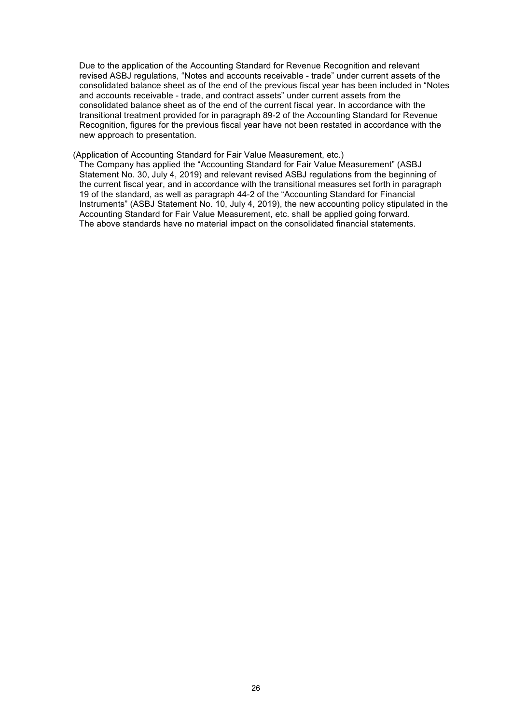Due to the application of the Accounting Standard for Revenue Recognition and relevant revised ASBJ regulations, "Notes and accounts receivable - trade" under current assets of the consolidated balance sheet as of the end of the previous fiscal year has been included in "Notes and accounts receivable - trade, and contract assets" under current assets from the consolidated balance sheet as of the end of the current fiscal year. In accordance with the transitional treatment provided for in paragraph 89-2 of the Accounting Standard for Revenue Recognition, figures for the previous fiscal year have not been restated in accordance with the new approach to presentation.

(Application of Accounting Standard for Fair Value Measurement, etc.)

The Company has applied the "Accounting Standard for Fair Value Measurement" (ASBJ Statement No. 30, July 4, 2019) and relevant revised ASBJ regulations from the beginning of the current fiscal year, and in accordance with the transitional measures set forth in paragraph 19 of the standard, as well as paragraph 44-2 of the "Accounting Standard for Financial Instruments" (ASBJ Statement No. 10, July 4, 2019), the new accounting policy stipulated in the Accounting Standard for Fair Value Measurement, etc. shall be applied going forward. The above standards have no material impact on the consolidated financial statements.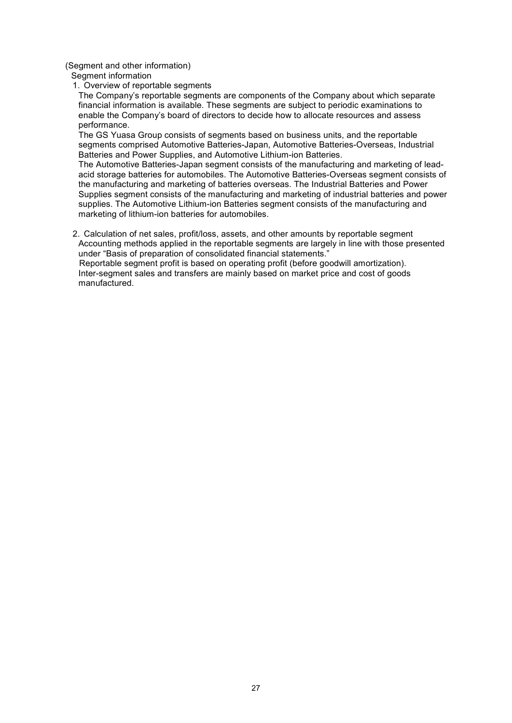(Segment and other information)

- Segment information
- 1. Overview of reportable segments

The Company's reportable segments are components of the Company about which separate financial information is available. These segments are subject to periodic examinations to enable the Company's board of directors to decide how to allocate resources and assess performance.

The GS Yuasa Group consists of segments based on business units, and the reportable segments comprised Automotive Batteries-Japan, Automotive Batteries-Overseas, Industrial Batteries and Power Supplies, and Automotive Lithium-ion Batteries.

The Automotive Batteries-Japan segment consists of the manufacturing and marketing of leadacid storage batteries for automobiles. The Automotive Batteries-Overseas segment consists of the manufacturing and marketing of batteries overseas. The Industrial Batteries and Power Supplies segment consists of the manufacturing and marketing of industrial batteries and power supplies. The Automotive Lithium-ion Batteries segment consists of the manufacturing and marketing of lithium-ion batteries for automobiles.

2. Calculation of net sales, profit/loss, assets, and other amounts by reportable segment Accounting methods applied in the reportable segments are largely in line with those presented under "Basis of preparation of consolidated financial statements."

Reportable segment profit is based on operating profit (before goodwill amortization). Inter-segment sales and transfers are mainly based on market price and cost of goods manufactured.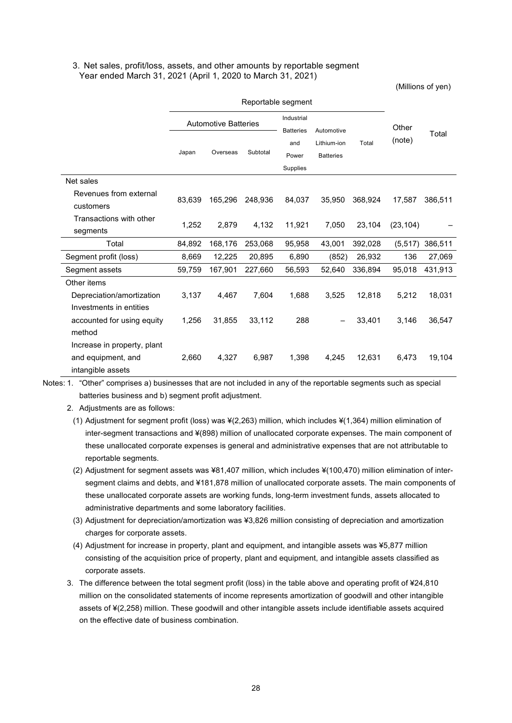#### 3. Net sales, profit/loss, assets, and other amounts by reportable segment Year ended March 31, 2021 (April 1, 2020 to March 31, 2021)

(Millions of yen)

|                                                                        | Reportable segment |                                                               |          |                          |                                 |         |           |         |
|------------------------------------------------------------------------|--------------------|---------------------------------------------------------------|----------|--------------------------|---------------------------------|---------|-----------|---------|
|                                                                        |                    | Industrial<br><b>Automotive Batteries</b><br><b>Batteries</b> |          | Automotive               |                                 | Other   |           |         |
|                                                                        | Japan              | Overseas                                                      | Subtotal | and<br>Power<br>Supplies | Lithium-ion<br><b>Batteries</b> | Total   | (note)    | Total   |
| Net sales                                                              |                    |                                                               |          |                          |                                 |         |           |         |
| Revenues from external<br>customers                                    | 83,639             | 165,296                                                       | 248,936  | 84,037                   | 35,950                          | 368,924 | 17,587    | 386,511 |
| Transactions with other<br>segments                                    | 1,252              | 2.879                                                         | 4,132    | 11,921                   | 7,050                           | 23,104  | (23, 104) |         |
| Total                                                                  | 84,892             | 168,176                                                       | 253,068  | 95.958                   | 43,001                          | 392,028 | (5, 517)  | 386,511 |
| Segment profit (loss)                                                  | 8,669              | 12,225                                                        | 20,895   | 6,890                    | (852)                           | 26,932  | 136       | 27,069  |
| Segment assets                                                         | 59,759             | 167,901                                                       | 227,660  | 56,593                   | 52,640                          | 336,894 | 95,018    | 431,913 |
| Other items                                                            |                    |                                                               |          |                          |                                 |         |           |         |
| Depreciation/amortization                                              | 3,137              | 4,467                                                         | 7,604    | 1,688                    | 3,525                           | 12,818  | 5,212     | 18,031  |
| Investments in entities                                                |                    |                                                               |          |                          |                                 |         |           |         |
| accounted for using equity<br>method                                   | 1,256              | 31,855                                                        | 33,112   | 288                      |                                 | 33,401  | 3,146     | 36,547  |
| Increase in property, plant<br>and equipment, and<br>intangible assets | 2.660              | 4.327                                                         | 6.987    | 1,398                    | 4.245                           | 12,631  | 6,473     | 19,104  |

Notes: 1. "Other" comprises a) businesses that are not included in any of the reportable segments such as special batteries business and b) segment profit adjustment.

- 2. Adjustments are as follows:
	- (1) Adjustment for segment profit (loss) was ¥(2,263) million, which includes ¥(1,364) million elimination of inter-segment transactions and ¥(898) million of unallocated corporate expenses. The main component of these unallocated corporate expenses is general and administrative expenses that are not attributable to reportable segments.
	- (2) Adjustment for segment assets was ¥81,407 million, which includes ¥(100,470) million elimination of intersegment claims and debts, and ¥181,878 million of unallocated corporate assets. The main components of these unallocated corporate assets are working funds, long-term investment funds, assets allocated to administrative departments and some laboratory facilities.
	- (3) Adjustment for depreciation/amortization was ¥3,826 million consisting of depreciation and amortization charges for corporate assets.
	- (4) Adjustment for increase in property, plant and equipment, and intangible assets was ¥5,877 million consisting of the acquisition price of property, plant and equipment, and intangible assets classified as corporate assets.
- 3. The difference between the total segment profit (loss) in the table above and operating profit of ¥24,810 million on the consolidated statements of income represents amortization of goodwill and other intangible assets of ¥(2,258) million. These goodwill and other intangible assets include identifiable assets acquired on the effective date of business combination.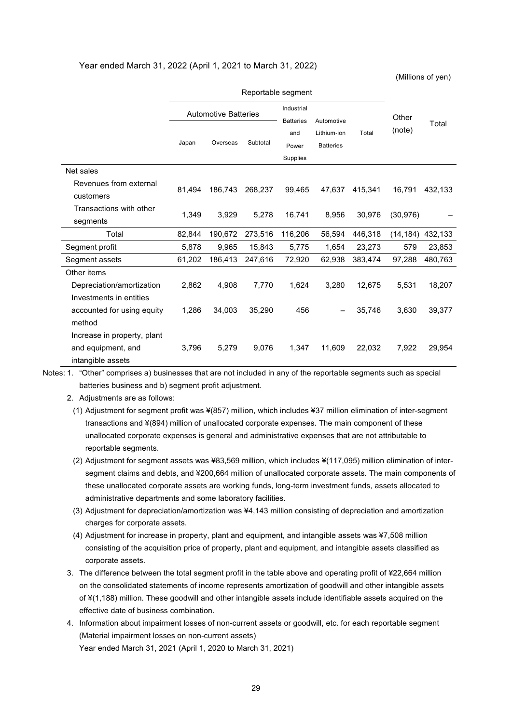#### Year ended March 31, 2022 (April 1, 2021 to March 31, 2022)

(Millions of yen)

|                                     |        | <b>Automotive Batteries</b> |          | Industrial<br><b>Batteries</b> | Automotive                               |         | Other     |         |
|-------------------------------------|--------|-----------------------------|----------|--------------------------------|------------------------------------------|---------|-----------|---------|
|                                     | Japan  | Overseas                    | Subtotal | and<br>Power                   | Lithium-ion<br>Total<br><b>Batteries</b> |         | (note)    | Total   |
|                                     |        |                             |          | Supplies                       |                                          |         |           |         |
| Net sales                           |        |                             |          |                                |                                          |         |           |         |
| Revenues from external<br>customers | 81,494 | 186.743                     | 268.237  | 99,465                         | 47.637                                   | 415.341 | 16.791    | 432.133 |
| Transactions with other<br>segments | 1,349  | 3,929                       | 5,278    | 16,741                         | 8,956                                    | 30,976  | (30, 976) |         |
| Total                               | 82,844 | 190.672                     | 273,516  | 116,206                        | 56.594                                   | 446.318 | (14, 184) | 432,133 |
| Segment profit                      | 5,878  | 9,965                       | 15,843   | 5,775                          | 1,654                                    | 23,273  | 579       | 23,853  |
| Segment assets                      | 61,202 | 186,413                     | 247,616  | 72,920                         | 62,938                                   | 383,474 | 97,288    | 480,763 |
| Other items                         |        |                             |          |                                |                                          |         |           |         |
| Depreciation/amortization           | 2.862  | 4.908                       | 7.770    | 1.624                          | 3.280                                    | 12.675  | 5.531     | 18,207  |
| Investments in entities             |        |                             |          |                                |                                          |         |           |         |
| accounted for using equity          | 1,286  | 34,003                      | 35,290   | 456                            |                                          | 35,746  | 3,630     | 39,377  |
| method                              |        |                             |          |                                |                                          |         |           |         |
| Increase in property, plant         |        |                             |          |                                |                                          |         |           |         |
| and equipment, and                  | 3,796  | 5,279                       | 9,076    | 1,347                          | 11,609                                   | 22,032  | 7,922     | 29,954  |
| intangible assets                   |        |                             |          |                                |                                          |         |           |         |

#### Reportable segment

Notes: 1. "Other" comprises a) businesses that are not included in any of the reportable segments such as special batteries business and b) segment profit adjustment.

2. Adjustments are as follows:

(1) Adjustment for segment profit was ¥(857) million, which includes ¥37 million elimination of inter-segment transactions and ¥(894) million of unallocated corporate expenses. The main component of these unallocated corporate expenses is general and administrative expenses that are not attributable to reportable segments.

- (2) Adjustment for segment assets was ¥83,569 million, which includes ¥(117,095) million elimination of intersegment claims and debts, and ¥200,664 million of unallocated corporate assets. The main components of these unallocated corporate assets are working funds, long-term investment funds, assets allocated to administrative departments and some laboratory facilities.
- (3) Adjustment for depreciation/amortization was ¥4,143 million consisting of depreciation and amortization charges for corporate assets.
- (4) Adjustment for increase in property, plant and equipment, and intangible assets was ¥7,508 million consisting of the acquisition price of property, plant and equipment, and intangible assets classified as corporate assets.
- 3. The difference between the total segment profit in the table above and operating profit of ¥22,664 million on the consolidated statements of income represents amortization of goodwill and other intangible assets of ¥(1,188) million. These goodwill and other intangible assets include identifiable assets acquired on the effective date of business combination.
- 4. Information about impairment losses of non-current assets or goodwill, etc. for each reportable segment (Material impairment losses on non-current assets) Year ended March 31, 2021 (April 1, 2020 to March 31, 2021)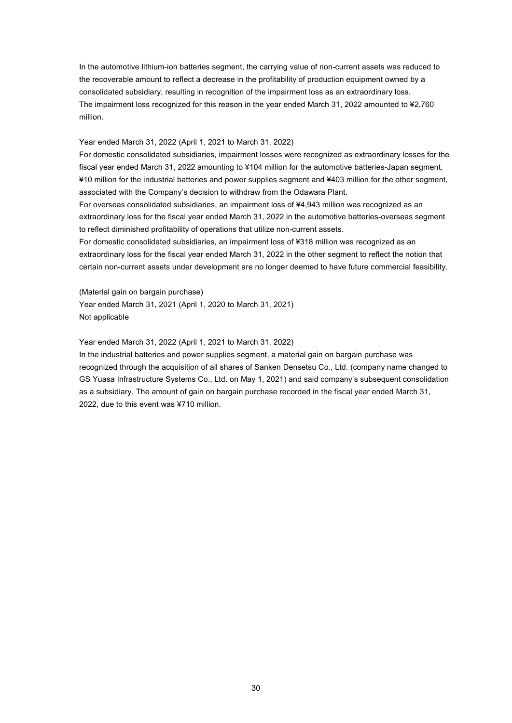In the automotive lithium-ion batteries segment, the carrying value of non-current assets was reduced to the recoverable amount to reflect a decrease in the profitability of production equipment owned by a consolidated subsidiary, resulting in recognition of the impairment loss as an extraordinary loss. The impairment loss recognized for this reason in the year ended March 31, 2022 amounted to ¥2,760 million.

#### Year ended March 31, 2022 (April 1, 2021 to March 31, 2022)

For domestic consolidated subsidiaries, impairment losses were recognized as extraordinary losses for the fiscal year ended March 31, 2022 amounting to ¥104 million for the automotive batteries-Japan segment, ¥10 million for the industrial batteries and power supplies segment and ¥403 million for the other segment, associated with the Company's decision to withdraw from the Odawara Plant.

For overseas consolidated subsidiaries, an impairment loss of ¥4,943 million was recognized as an extraordinary loss for the fiscal year ended March 31, 2022 in the automotive batteries-overseas segment to reflect diminished profitability of operations that utilize non-current assets.

For domestic consolidated subsidiaries, an impairment loss of ¥318 million was recognized as an extraordinary loss for the fiscal year ended March 31, 2022 in the other segment to reflect the notion that certain non-current assets under development are no longer deemed to have future commercial feasibility.

(Material gain on bargain purchase) Year ended March 31, 2021 (April 1, 2020 to March 31, 2021) Not applicable

Year ended March 31, 2022 (April 1, 2021 to March 31, 2022)

In the industrial batteries and power supplies segment, a material gain on bargain purchase was recognized through the acquisition of all shares of Sanken Densetsu Co., Ltd. (company name changed to GS Yuasa Infrastructure Systems Co., Ltd. on May 1, 2021) and said company's subsequent consolidation as a subsidiary. The amount of gain on bargain purchase recorded in the fiscal year ended March 31, 2022, due to this event was ¥710 million.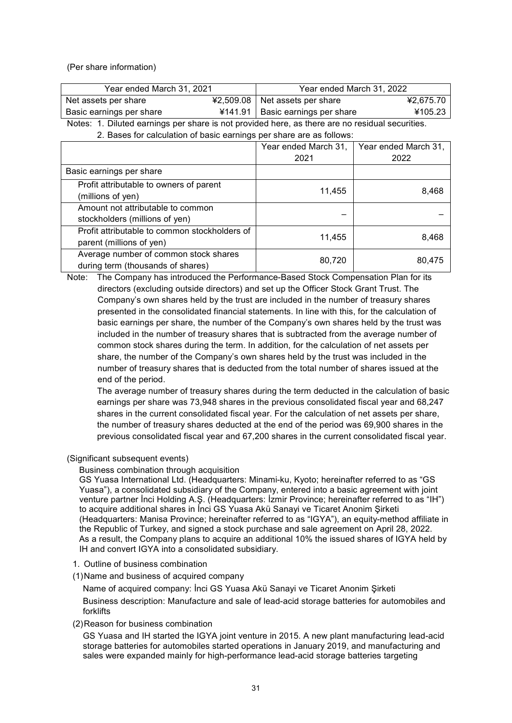(Per share information)

| Year ended March 31, 2021 | Year ended March 31, 2022          |           |  |
|---------------------------|------------------------------------|-----------|--|
| Net assets per share      | ¥2,509.08   Net assets per share   | ¥2.675.70 |  |
| Basic earnings per share  | ¥141.91   Basic earnings per share | ¥105.23   |  |

Notes: 1. Diluted earnings per share is not provided here, as there are no residual securities. 2. Bases for calculation of basic earnings per share are as follows:

|                                                                            | Year ended March 31, | Year ended March 31, |
|----------------------------------------------------------------------------|----------------------|----------------------|
|                                                                            | 2021                 | 2022                 |
| Basic earnings per share                                                   |                      |                      |
| Profit attributable to owners of parent<br>(millions of yen)               | 11,455               | 8,468                |
| Amount not attributable to common<br>stockholders (millions of yen)        |                      |                      |
| Profit attributable to common stockholders of<br>parent (millions of yen)  | 11,455               | 8,468                |
| Average number of common stock shares<br>during term (thousands of shares) | 80,720               | 80,475               |

Note: The Company has introduced the Performance-Based Stock Compensation Plan for its directors (excluding outside directors) and set up the Officer Stock Grant Trust. The Company's own shares held by the trust are included in the number of treasury shares presented in the consolidated financial statements. In line with this, for the calculation of basic earnings per share, the number of the Company's own shares held by the trust was included in the number of treasury shares that is subtracted from the average number of common stock shares during the term. In addition, for the calculation of net assets per share, the number of the Company's own shares held by the trust was included in the number of treasury shares that is deducted from the total number of shares issued at the end of the period.

The average number of treasury shares during the term deducted in the calculation of basic earnings per share was 73,948 shares in the previous consolidated fiscal year and 68,247 shares in the current consolidated fiscal year. For the calculation of net assets per share, the number of treasury shares deducted at the end of the period was 69,900 shares in the previous consolidated fiscal year and 67,200 shares in the current consolidated fiscal year.

### (Significant subsequent events)

Business combination through acquisition

GS Yuasa International Ltd. (Headquarters: Minami-ku, Kyoto; hereinafter referred to as "GS Yuasa"), a consolidated subsidiary of the Company, entered into a basic agreement with joint venture partner İnci Holding A.Ş. (Headquarters: İzmir Province; hereinafter referred to as "IH") to acquire additional shares in İnci GS Yuasa Akü Sanayi ve Ticaret Anonim Şirketi (Headquarters: Manisa Province; hereinafter referred to as "IGYA"), an equity-method affiliate in the Republic of Turkey, and signed a stock purchase and sale agreement on April 28, 2022. As a result, the Company plans to acquire an additional 10% the issued shares of IGYA held by IH and convert IGYA into a consolidated subsidiary.

- 1. Outline of business combination
- (1)Name and business of acquired company

Name of acquired company: İnci GS Yuasa Akü Sanayi ve Ticaret Anonim Şirketi

Business description: Manufacture and sale of lead-acid storage batteries for automobiles and forklifts

(2)Reason for business combination

GS Yuasa and IH started the IGYA joint venture in 2015. A new plant manufacturing lead-acid storage batteries for automobiles started operations in January 2019, and manufacturing and sales were expanded mainly for high-performance lead-acid storage batteries targeting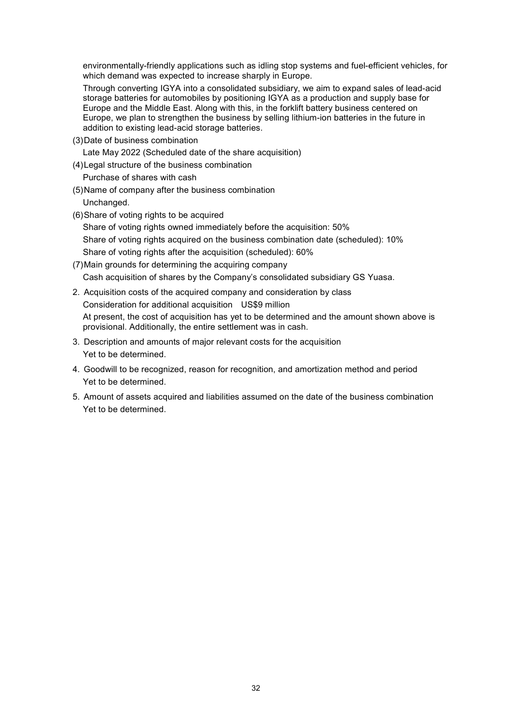environmentally-friendly applications such as idling stop systems and fuel-efficient vehicles, for which demand was expected to increase sharply in Europe.

Through converting IGYA into a consolidated subsidiary, we aim to expand sales of lead-acid storage batteries for automobiles by positioning IGYA as a production and supply base for Europe and the Middle East. Along with this, in the forklift battery business centered on Europe, we plan to strengthen the business by selling lithium-ion batteries in the future in addition to existing lead-acid storage batteries.

(3)Date of business combination

Late May 2022 (Scheduled date of the share acquisition)

(4)Legal structure of the business combination

Purchase of shares with cash

- (5)Name of company after the business combination Unchanged.
- (6)Share of voting rights to be acquired

Share of voting rights owned immediately before the acquisition: 50% Share of voting rights acquired on the business combination date (scheduled): 10% Share of voting rights after the acquisition (scheduled): 60%

- (7)Main grounds for determining the acquiring company Cash acquisition of shares by the Company's consolidated subsidiary GS Yuasa.
- 2. Acquisition costs of the acquired company and consideration by class Consideration for additional acquisition US\$9 million At present, the cost of acquisition has yet to be determined and the amount shown above is provisional. Additionally, the entire settlement was in cash.
- 3. Description and amounts of major relevant costs for the acquisition Yet to be determined.
- 4. Goodwill to be recognized, reason for recognition, and amortization method and period Yet to be determined.
- 5. Amount of assets acquired and liabilities assumed on the date of the business combination Yet to be determined.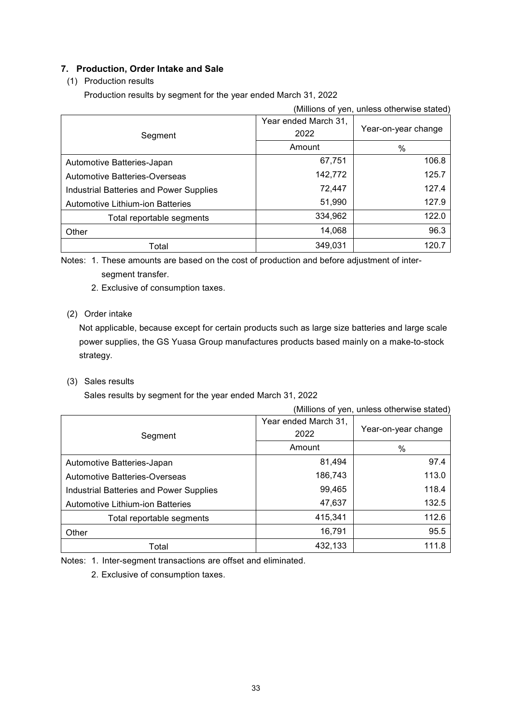# **7. Production, Order Intake and Sale**

# (1) Production results

Production results by segment for the year ended March 31, 2022

| (Millions of yen, unless otherwise stated) |                              |                     |  |  |
|--------------------------------------------|------------------------------|---------------------|--|--|
| Segment                                    | Year ended March 31,<br>2022 | Year-on-year change |  |  |
|                                            | Amount                       | %                   |  |  |
| Automotive Batteries-Japan                 | 67,751                       | 106.8               |  |  |
| Automotive Batteries-Overseas              | 142,772                      | 125.7               |  |  |
| Industrial Batteries and Power Supplies    | 72,447                       | 127.4               |  |  |
| Automotive Lithium-ion Batteries           | 51,990                       | 127.9               |  |  |
| Total reportable segments                  | 334,962                      | 122.0               |  |  |
| Other                                      | 14,068                       | 96.3                |  |  |
| Total                                      | 349.031                      | 120.7               |  |  |

Notes: 1. These amounts are based on the cost of production and before adjustment of intersegment transfer.

2. Exclusive of consumption taxes.

## (2) Order intake

Not applicable, because except for certain products such as large size batteries and large scale power supplies, the GS Yuasa Group manufactures products based mainly on a make-to-stock strategy.

(3) Sales results

Sales results by segment for the year ended March 31, 2022

| (Millions of yen, unless otherwise stated)     |                              |                     |  |  |  |
|------------------------------------------------|------------------------------|---------------------|--|--|--|
| Segment                                        | Year ended March 31,<br>2022 | Year-on-year change |  |  |  |
|                                                | Amount                       | %                   |  |  |  |
| Automotive Batteries-Japan                     | 81,494                       | 97.4                |  |  |  |
| Automotive Batteries-Overseas                  | 186,743                      | 113.0               |  |  |  |
| <b>Industrial Batteries and Power Supplies</b> | 99,465                       | 118.4               |  |  |  |
| Automotive Lithium-ion Batteries               | 47,637                       | 132.5               |  |  |  |
| Total reportable segments                      | 415,341                      | 112.6               |  |  |  |
| Other                                          | 16,791                       | 95.5                |  |  |  |
| Total                                          | 432,133                      | 111.8               |  |  |  |

Notes: 1. Inter-segment transactions are offset and eliminated.

2. Exclusive of consumption taxes.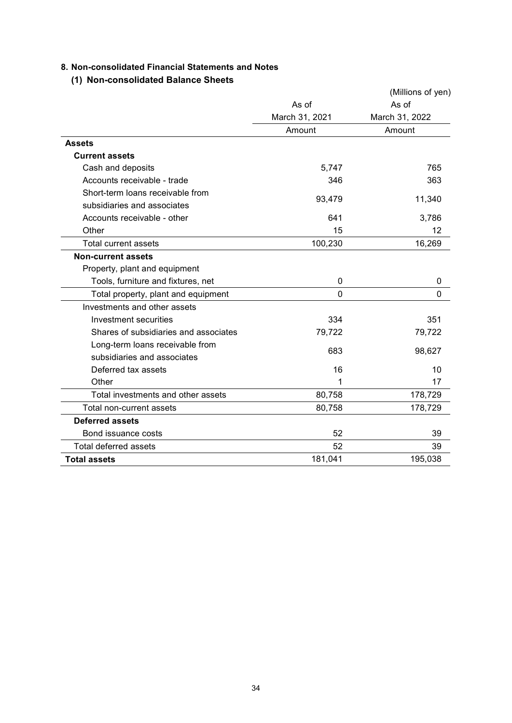# **8. Non-consolidated Financial Statements and Notes**

# **(1) Non-consolidated Balance Sheets**

|                                       |                | (Millions of yen) |
|---------------------------------------|----------------|-------------------|
|                                       | As of          | As of             |
|                                       | March 31, 2021 | March 31, 2022    |
|                                       | Amount         | Amount            |
| <b>Assets</b>                         |                |                   |
| <b>Current assets</b>                 |                |                   |
| Cash and deposits                     | 5,747          | 765               |
| Accounts receivable - trade           | 346            | 363               |
| Short-term loans receivable from      |                |                   |
| subsidiaries and associates           | 93,479         | 11,340            |
| Accounts receivable - other           | 641            | 3,786             |
| Other                                 | 15             | 12                |
| <b>Total current assets</b>           | 100,230        | 16,269            |
| <b>Non-current assets</b>             |                |                   |
| Property, plant and equipment         |                |                   |
| Tools, furniture and fixtures, net    | 0              | 0                 |
| Total property, plant and equipment   | $\Omega$       | $\Omega$          |
| Investments and other assets          |                |                   |
| Investment securities                 | 334            | 351               |
| Shares of subsidiaries and associates | 79,722         | 79,722            |
| Long-term loans receivable from       | 683            |                   |
| subsidiaries and associates           |                | 98,627            |
| Deferred tax assets                   | 16             | 10                |
| Other                                 | 1              | 17                |
| Total investments and other assets    | 80,758         | 178,729           |
| Total non-current assets              | 80,758         | 178,729           |
| <b>Deferred assets</b>                |                |                   |
| Bond issuance costs                   | 52             | 39                |
| <b>Total deferred assets</b>          | 52             | 39                |
| <b>Total assets</b>                   | 181,041        | 195,038           |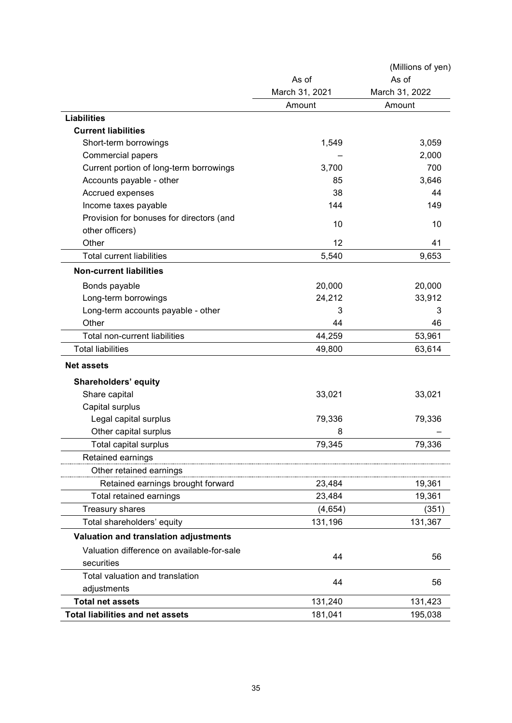|                                            |                | (Millions of yen) |
|--------------------------------------------|----------------|-------------------|
|                                            | As of          | As of             |
|                                            | March 31, 2021 | March 31, 2022    |
|                                            | Amount         | Amount            |
| <b>Liabilities</b>                         |                |                   |
| <b>Current liabilities</b>                 |                |                   |
| Short-term borrowings                      | 1,549          | 3,059             |
| <b>Commercial papers</b>                   |                | 2,000             |
| Current portion of long-term borrowings    | 3,700          | 700               |
| Accounts payable - other                   | 85             | 3,646             |
| Accrued expenses                           | 38             | 44                |
| Income taxes payable                       | 144            | 149               |
| Provision for bonuses for directors (and   |                |                   |
| other officers)                            | 10             | 10                |
| Other                                      | 12             | 41                |
| <b>Total current liabilities</b>           | 5,540          | 9,653             |
| <b>Non-current liabilities</b>             |                |                   |
| Bonds payable                              | 20,000         | 20,000            |
| Long-term borrowings                       | 24,212         | 33,912            |
| Long-term accounts payable - other         | 3              | 3                 |
| Other                                      | 44             | 46                |
| Total non-current liabilities              | 44,259         | 53,961            |
| <b>Total liabilities</b>                   | 49,800         | 63,614            |
| <b>Net assets</b>                          |                |                   |
| <b>Shareholders' equity</b>                |                |                   |
| Share capital                              | 33,021         | 33,021            |
| Capital surplus                            |                |                   |
| Legal capital surplus                      | 79,336         | 79,336            |
| Other capital surplus                      | 8              |                   |
| <b>Total capital surplus</b>               | 79,345         | 79,336            |
| Retained earnings                          |                |                   |
| Other retained earnings                    |                |                   |
| Retained earnings brought forward          | 23,484         | 19,361            |
| Total retained earnings                    | 23,484         | 19,361            |
| Treasury shares                            | (4,654)        | (351)             |
| Total shareholders' equity                 | 131,196        | 131,367           |
| Valuation and translation adjustments      |                |                   |
| Valuation difference on available-for-sale |                |                   |
| securities                                 | 44             | 56                |
| Total valuation and translation            |                |                   |
| adjustments                                | 44             | 56                |
| <b>Total net assets</b>                    | 131,240        | 131,423           |
| <b>Total liabilities and net assets</b>    | 181,041        | 195,038           |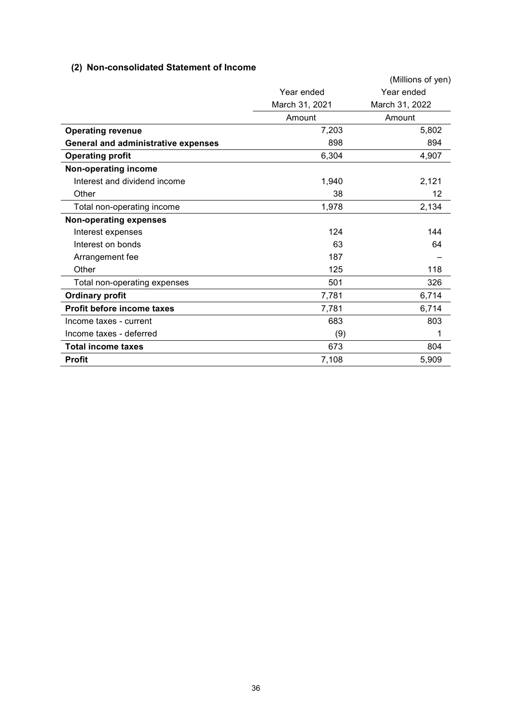# **(2) Non-consolidated Statement of Income**

|                                            |                | (Millions of yen) |
|--------------------------------------------|----------------|-------------------|
|                                            | Year ended     | Year ended        |
|                                            | March 31, 2021 | March 31, 2022    |
|                                            | Amount         | Amount            |
| <b>Operating revenue</b>                   | 7,203          | 5,802             |
| <b>General and administrative expenses</b> | 898            | 894               |
| <b>Operating profit</b>                    | 6,304          | 4,907             |
| Non-operating income                       |                |                   |
| Interest and dividend income               | 1,940          | 2,121             |
| Other                                      | 38             | 12                |
| Total non-operating income                 | 1,978          | 2,134             |
| <b>Non-operating expenses</b>              |                |                   |
| Interest expenses                          | 124            | 144               |
| Interest on bonds                          | 63             | 64                |
| Arrangement fee                            | 187            |                   |
| Other                                      | 125            | 118               |
| Total non-operating expenses               | 501            | 326               |
| <b>Ordinary profit</b>                     | 7,781          | 6,714             |
| Profit before income taxes                 | 7,781          | 6,714             |
| Income taxes - current                     | 683            | 803               |
| Income taxes - deferred                    | (9)            | 1                 |
| <b>Total income taxes</b>                  | 673            | 804               |
| <b>Profit</b>                              | 7,108          | 5,909             |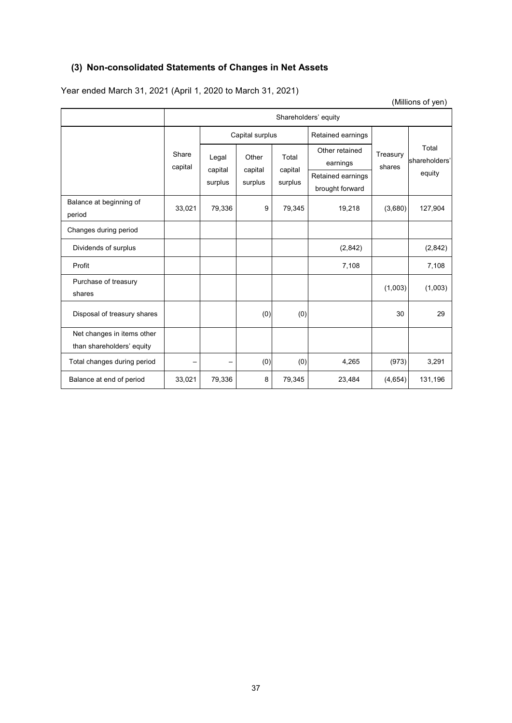# **(3) Non-consolidated Statements of Changes in Net Assets**

Year ended March 31, 2021 (April 1, 2020 to March 31, 2021)

(Millions of yen)

|                                                         | Shareholders' equity |                             |                             |                             |                                                                    |                    |                                  |
|---------------------------------------------------------|----------------------|-----------------------------|-----------------------------|-----------------------------|--------------------------------------------------------------------|--------------------|----------------------------------|
|                                                         |                      | Capital surplus             |                             | Retained earnings           |                                                                    |                    |                                  |
|                                                         | Share<br>capital     | Legal<br>capital<br>surplus | Other<br>capital<br>surplus | Total<br>capital<br>surplus | Other retained<br>earnings<br>Retained earnings<br>brought forward | Treasury<br>shares | Total<br>shareholders'<br>equity |
| Balance at beginning of<br>period                       | 33,021               | 79,336                      | 9                           | 79,345                      | 19,218                                                             | (3,680)            | 127,904                          |
| Changes during period                                   |                      |                             |                             |                             |                                                                    |                    |                                  |
| Dividends of surplus                                    |                      |                             |                             |                             | (2,842)                                                            |                    | (2,842)                          |
| Profit                                                  |                      |                             |                             |                             | 7,108                                                              |                    | 7,108                            |
| Purchase of treasury<br>shares                          |                      |                             |                             |                             |                                                                    | (1,003)            | (1,003)                          |
| Disposal of treasury shares                             |                      |                             | (0)                         | (0)                         |                                                                    | 30                 | 29                               |
| Net changes in items other<br>than shareholders' equity |                      |                             |                             |                             |                                                                    |                    |                                  |
| Total changes during period                             |                      |                             | (0)                         | (0)                         | 4,265                                                              | (973)              | 3,291                            |
| Balance at end of period                                | 33,021               | 79,336                      | 8                           | 79,345                      | 23,484                                                             | (4,654)            | 131,196                          |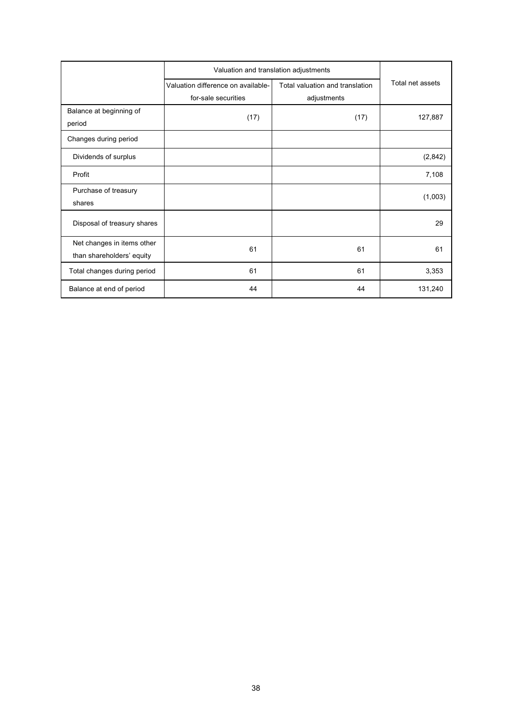|                                                         | Valuation and translation adjustments                     |                                                |                  |
|---------------------------------------------------------|-----------------------------------------------------------|------------------------------------------------|------------------|
|                                                         | Valuation difference on available-<br>for-sale securities | Total valuation and translation<br>adjustments | Total net assets |
| Balance at beginning of<br>period                       | (17)                                                      | (17)                                           | 127,887          |
| Changes during period                                   |                                                           |                                                |                  |
| Dividends of surplus                                    |                                                           |                                                | (2,842)          |
| Profit                                                  |                                                           |                                                | 7,108            |
| Purchase of treasury<br>shares                          |                                                           |                                                | (1,003)          |
| Disposal of treasury shares                             |                                                           |                                                | 29               |
| Net changes in items other<br>than shareholders' equity | 61                                                        | 61                                             | 61               |
| Total changes during period                             | 61                                                        | 61                                             | 3,353            |
| Balance at end of period                                | 44                                                        | 44                                             | 131,240          |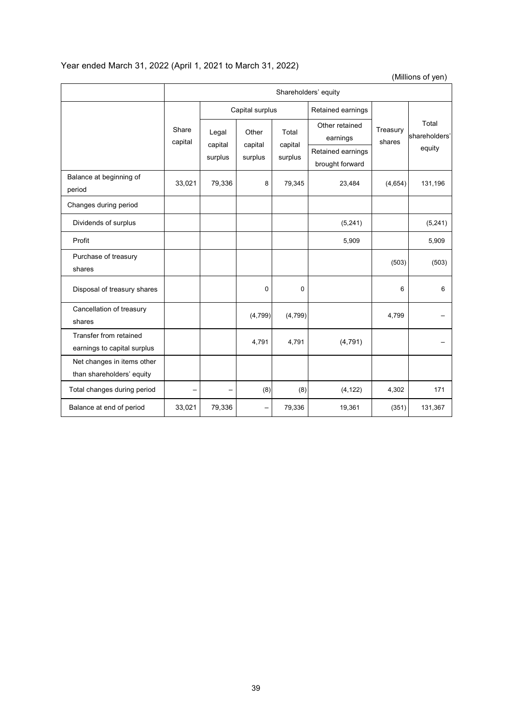# Year ended March 31, 2022 (April 1, 2021 to March 31, 2022)

(Millions of yen)

|                                                         | Shareholders' equity |                  |                  |                  |                                      |                    |                                  |  |
|---------------------------------------------------------|----------------------|------------------|------------------|------------------|--------------------------------------|--------------------|----------------------------------|--|
|                                                         |                      | Capital surplus  |                  |                  | Retained earnings                    |                    |                                  |  |
|                                                         | Share<br>capital     | Legal<br>capital | Other<br>capital | Total<br>capital | Other retained<br>earnings           | Treasury<br>shares | Total<br>shareholders'<br>equity |  |
|                                                         |                      | surplus          | surplus          | surplus          | Retained earnings<br>brought forward |                    |                                  |  |
| Balance at beginning of<br>period                       | 33,021               | 79,336           | 8                | 79,345           | 23,484                               | (4,654)            | 131,196                          |  |
| Changes during period                                   |                      |                  |                  |                  |                                      |                    |                                  |  |
| Dividends of surplus                                    |                      |                  |                  |                  | (5,241)                              |                    | (5,241)                          |  |
| Profit                                                  |                      |                  |                  |                  | 5,909                                |                    | 5,909                            |  |
| Purchase of treasury<br>shares                          |                      |                  |                  |                  |                                      | (503)              | (503)                            |  |
| Disposal of treasury shares                             |                      |                  | 0                | $\mathbf 0$      |                                      | 6                  | 6                                |  |
| Cancellation of treasury<br>shares                      |                      |                  | (4,799)          | (4, 799)         |                                      | 4,799              |                                  |  |
| Transfer from retained<br>earnings to capital surplus   |                      |                  | 4,791            | 4,791            | (4, 791)                             |                    |                                  |  |
| Net changes in items other<br>than shareholders' equity |                      |                  |                  |                  |                                      |                    |                                  |  |
| Total changes during period                             |                      |                  | (8)              | (8)              | (4, 122)                             | 4,302              | 171                              |  |
| Balance at end of period                                | 33,021               | 79,336           |                  | 79,336           | 19,361                               | (351)              | 131,367                          |  |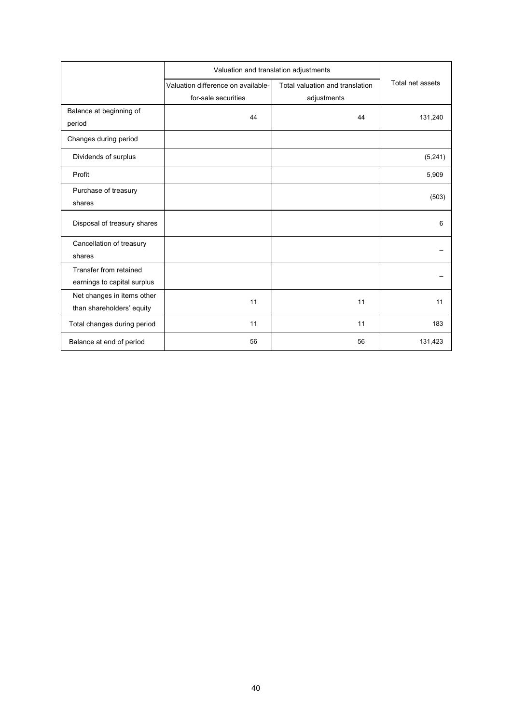|                             | Valuation and translation adjustments |                                 |                  |  |
|-----------------------------|---------------------------------------|---------------------------------|------------------|--|
|                             | Valuation difference on available-    | Total valuation and translation | Total net assets |  |
|                             | for-sale securities                   | adjustments                     |                  |  |
| Balance at beginning of     | 44                                    | 44                              | 131,240          |  |
| period                      |                                       |                                 |                  |  |
| Changes during period       |                                       |                                 |                  |  |
| Dividends of surplus        |                                       |                                 | (5, 241)         |  |
| Profit                      |                                       |                                 | 5,909            |  |
| Purchase of treasury        |                                       |                                 |                  |  |
| shares                      |                                       |                                 | (503)            |  |
| Disposal of treasury shares |                                       |                                 | 6                |  |
| Cancellation of treasury    |                                       |                                 |                  |  |
| shares                      |                                       |                                 |                  |  |
| Transfer from retained      |                                       |                                 |                  |  |
| earnings to capital surplus |                                       |                                 |                  |  |
| Net changes in items other  | 11                                    | 11                              | 11               |  |
| than shareholders' equity   |                                       |                                 |                  |  |
| Total changes during period | 11                                    | 11                              | 183              |  |
| Balance at end of period    | 56                                    | 56                              | 131,423          |  |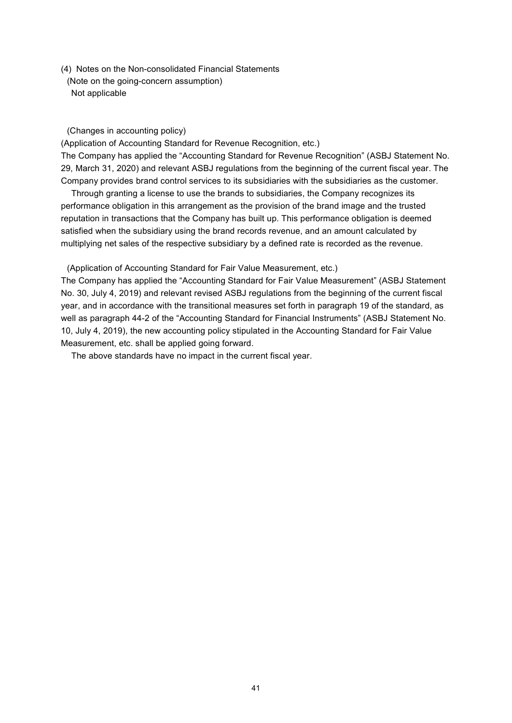(4) Notes on the Non-consolidated Financial Statements

(Note on the going-concern assumption) Not applicable

### (Changes in accounting policy)

(Application of Accounting Standard for Revenue Recognition, etc.)

The Company has applied the "Accounting Standard for Revenue Recognition" (ASBJ Statement No. 29, March 31, 2020) and relevant ASBJ regulations from the beginning of the current fiscal year. The Company provides brand control services to its subsidiaries with the subsidiaries as the customer.

Through granting a license to use the brands to subsidiaries, the Company recognizes its performance obligation in this arrangement as the provision of the brand image and the trusted reputation in transactions that the Company has built up. This performance obligation is deemed satisfied when the subsidiary using the brand records revenue, and an amount calculated by multiplying net sales of the respective subsidiary by a defined rate is recorded as the revenue.

(Application of Accounting Standard for Fair Value Measurement, etc.)

The Company has applied the "Accounting Standard for Fair Value Measurement" (ASBJ Statement No. 30, July 4, 2019) and relevant revised ASBJ regulations from the beginning of the current fiscal year, and in accordance with the transitional measures set forth in paragraph 19 of the standard, as well as paragraph 44-2 of the "Accounting Standard for Financial Instruments" (ASBJ Statement No. 10, July 4, 2019), the new accounting policy stipulated in the Accounting Standard for Fair Value Measurement, etc. shall be applied going forward.

The above standards have no impact in the current fiscal year.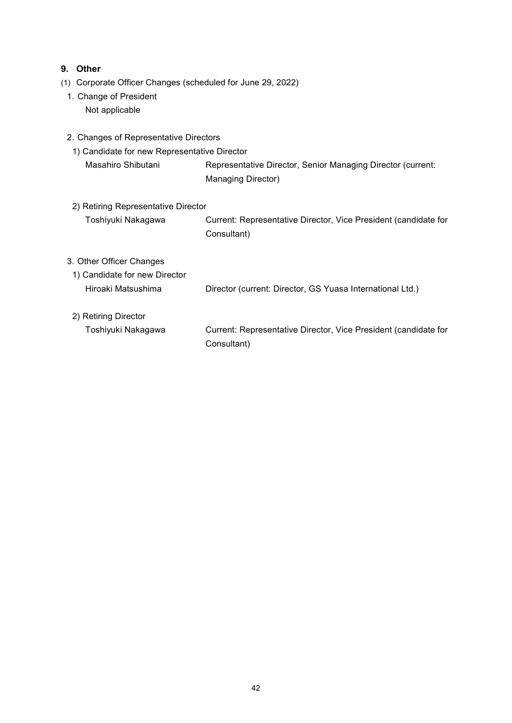# **9. Other**

- (1) Corporate Officer Changes (scheduled for June 29, 2022)
	- 1. Change of President Not applicable
	- 2. Changes of Representative Directors
	- 1) Candidate for new Representative Director Masahiro Shibutani Representative Director, Senior Managing Director (current: Managing Director)
	- 2) Retiring Representative Director Toshiyuki Nakagawa Current: Representative Director, Vice President (candidate for Consultant)

### 3. Other Officer Changes

- 1) Candidate for new Director Hiroaki Matsushima Director (current: Director, GS Yuasa International Ltd.)
- 2) Retiring Director

Toshiyuki Nakagawa Current: Representative Director, Vice President (candidate for Consultant)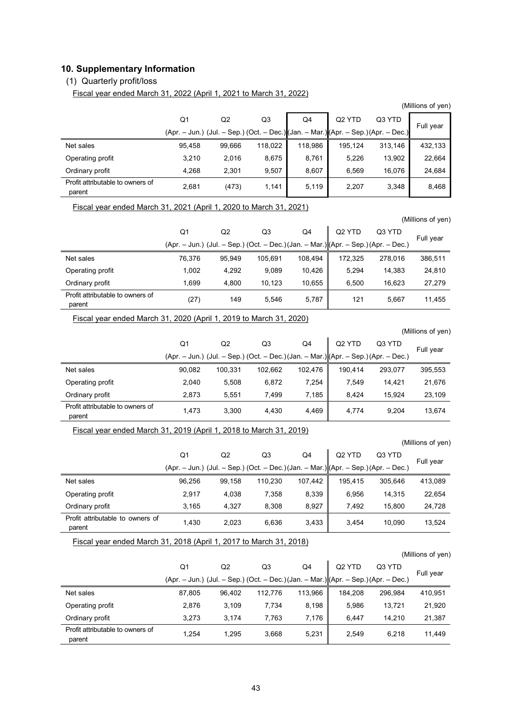# **10. Supplementary Information**

# (1) Quarterly profit/loss

Fiscal year ended March 31, 2022 (April 1, 2021 to March 31, 2022)

|                                            |                                                                                     |        |         |         |                    |         | (Millions of yen) |
|--------------------------------------------|-------------------------------------------------------------------------------------|--------|---------|---------|--------------------|---------|-------------------|
|                                            | Q1                                                                                  | Q2     | Q3      | Q4      | Q <sub>2</sub> YTD | Q3 YTD  | Full year         |
|                                            | (Apr. – Jun.) (Jul. – Sep.) (Oct. – Dec.) (Jan. – Mar.) (Apr. – Sep.) (Apr. – Dec.) |        |         |         |                    |         |                   |
| Net sales                                  | 95.458                                                                              | 99,666 | 118,022 | 118,986 | 195.124            | 313,146 | 432,133           |
| Operating profit                           | 3.210                                                                               | 2,016  | 8,675   | 8,761   | 5,226              | 13,902  | 22,664            |
| Ordinary profit                            | 4.268                                                                               | 2,301  | 9.507   | 8,607   | 6.569              | 16,076  | 24,684            |
| Profit attributable to owners of<br>parent | 2,681                                                                               | (473)  | 1,141   | 5,119   | 2,207              | 3,348   | 8,468             |

Fiscal year ended March 31, 2021 (April 1, 2020 to March 31, 2021)

 $Q<sub>1</sub>$ (Apr. – Jun.) (Jul. – Sep.) (Oct. – Dec.) (Jan. – Mar.)  $O<sub>2</sub>$  $O<sub>3</sub>$  $Q<sub>4</sub>$ Q2 YTD (Apr. – Sep.) (Apr. – Dec.) Full year Q3 YTD Net sales 76,376 95,949 105,691 108,494 172,325 278,016 386,511 Operating profit 1,002 4,292 9,089 10,426 5,294 14,383 24,810 Ordinary profit 1,699 4,800 10,123 10,655 6,500 16,623 27,279 Profit attributable to owners of parent (27) 149 5,546 5,787 121 5,667 11,455<br>parent

Fiscal year ended March 31, 2020 (April 1, 2019 to March 31, 2020)

(Millions of yen)

(Millions of yen)

|                                            | Q1                                                                                      | Q <sub>2</sub> | Q3      | Q4      | Q <sub>2</sub> YTD | Q3 YTD  |           |
|--------------------------------------------|-----------------------------------------------------------------------------------------|----------------|---------|---------|--------------------|---------|-----------|
|                                            | $(Apr. - Jun.)$ (Jul. - Sep.) (Oct. - Dec.) (Jan. - Mar.) $ (Apr. - Sep.)(Apr. - Dec.)$ |                |         |         |                    |         | Full year |
| Net sales                                  | 90,082                                                                                  | 100.331        | 102.662 | 102.476 | 190.414            | 293.077 | 395,553   |
| Operating profit                           | 2.040                                                                                   | 5.508          | 6.872   | 7.254   | 7.549              | 14.421  | 21,676    |
| Ordinary profit                            | 2.873                                                                                   | 5.551          | 7.499   | 7.185   | 8.424              | 15.924  | 23,109    |
| Profit attributable to owners of<br>parent | 1.473                                                                                   | 3.300          | 4.430   | 4,469   | 4.774              | 9.204   | 13,674    |

#### Fiscal year ended March 31, 2019 (April 1, 2018 to March 31, 2019)

|                                            |                                                                                      |                |         |         |                    |         | (Millions of yen) |
|--------------------------------------------|--------------------------------------------------------------------------------------|----------------|---------|---------|--------------------|---------|-------------------|
|                                            | Q1                                                                                   | Q <sub>2</sub> | Q3      | Q4      | Q <sub>2</sub> YTD | Q3 YTD  |                   |
|                                            | $(Apr. - Jun.)$ (Jul. – Sep.) (Oct. – Dec.) (Jan. – Mar.) Apr. – Sep.) (Apr. – Dec.) |                |         |         |                    |         | Full year         |
| Net sales                                  | 96.256                                                                               | 99.158         | 110.230 | 107.442 | 195.415            | 305.646 | 413,089           |
| Operating profit                           | 2.917                                                                                | 4,038          | 7,358   | 8,339   | 6.956              | 14,315  | 22,654            |
| Ordinary profit                            | 3.165                                                                                | 4.327          | 8.308   | 8.927   | 7.492              | 15.800  | 24,728            |
| Profit attributable to owners of<br>parent | 1,430                                                                                | 2,023          | 6,636   | 3,433   | 3.454              | 10,090  | 13,524            |

Fiscal year ended March 31, 2018 (April 1, 2017 to March 31, 2018)

(Millions of yen)

|                                  | Q1                                                                                      | Q2     | Q3      | Q4      | Q <sub>2</sub> YTD | Q3 YTD  |           |
|----------------------------------|-----------------------------------------------------------------------------------------|--------|---------|---------|--------------------|---------|-----------|
|                                  | $(Apr. - Jun.)$ (Jul. – Sep.) (Oct. – Dec.) (Jan. – Mar.) $ (Apr. - Sep.)(Apr. - Dec.)$ |        |         |         |                    |         | Full year |
| Net sales                        | 87.805                                                                                  | 96.402 | 112.776 | 113.966 | 184.208            | 296.984 | 410.951   |
| Operating profit                 | 2.876                                                                                   | 3.109  | 7.734   | 8,198   | 5.986              | 13.721  | 21,920    |
| Ordinary profit                  | 3,273                                                                                   | 3.174  | 7,763   | 7,176   | 6.447              | 14.210  | 21,387    |
| Profit attributable to owners of | 1.254                                                                                   | 1,295  | 3.668   | 5,231   | 2.549              | 6.218   | 11.449    |
| parent                           |                                                                                         |        |         |         |                    |         |           |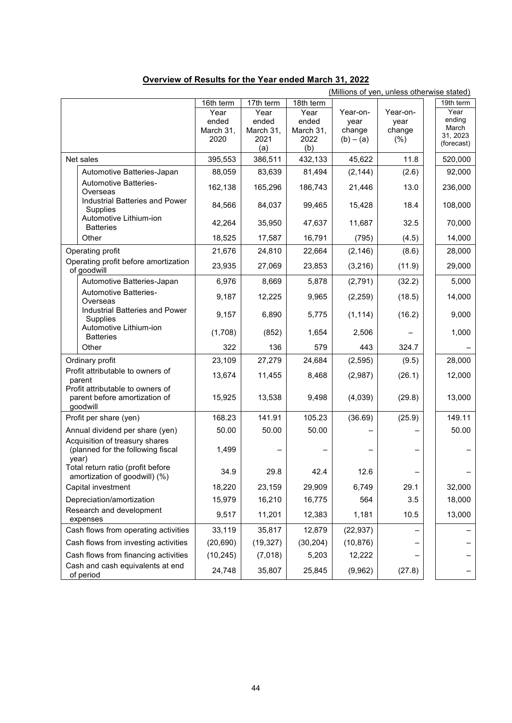|                                                                               |                                    |                                                         |                                           |                                           | (Millions of yen, unless otherwise stated) |                                                   |
|-------------------------------------------------------------------------------|------------------------------------|---------------------------------------------------------|-------------------------------------------|-------------------------------------------|--------------------------------------------|---------------------------------------------------|
|                                                                               | 16th term                          | 17th term                                               | 18th term                                 |                                           |                                            | 19th term                                         |
|                                                                               | Year<br>ended<br>March 31,<br>2020 | $\overline{Y}$ ear<br>ended<br>March 31,<br>2021<br>(a) | Year<br>ended<br>March 31,<br>2022<br>(b) | Year-on-<br>year<br>change<br>$(b) - (a)$ | Year-on-<br>year<br>change<br>(% )         | Year<br>ending<br>March<br>31, 2023<br>(forecast) |
| Net sales                                                                     | 395,553                            | 386,511                                                 | 432,133                                   | 45,622                                    | 11.8                                       | 520,000                                           |
| Automotive Batteries-Japan                                                    | 88,059                             | 83,639                                                  | 81,494                                    | (2, 144)                                  | (2.6)                                      | 92,000                                            |
| Automotive Batteries-<br>Overseas                                             | 162,138                            | 165,296                                                 | 186,743                                   | 21,446                                    | 13.0                                       | 236,000                                           |
| Industrial Batteries and Power<br>Supplies<br>Automotive Lithium-ion          | 84,566                             | 84,037                                                  | 99,465                                    | 15,428                                    | 18.4                                       | 108,000                                           |
| <b>Batteries</b>                                                              | 42,264                             | 35,950                                                  | 47,637                                    | 11,687                                    | 32.5                                       | 70,000                                            |
| Other                                                                         | 18,525                             | 17,587                                                  | 16,791                                    | (795)                                     | (4.5)                                      | 14,000                                            |
| Operating profit                                                              | 21,676                             | 24,810                                                  | 22,664                                    | (2, 146)                                  | (8.6)                                      | 28,000                                            |
| Operating profit before amortization<br>of goodwill                           | 23,935                             | 27,069                                                  | 23,853                                    | (3,216)                                   | (11.9)                                     | 29,000                                            |
| Automotive Batteries-Japan                                                    | 6,976                              | 8,669                                                   | 5,878                                     | (2,791)                                   | (32.2)                                     | 5,000                                             |
| Automotive Batteries-<br>Overseas                                             | 9,187                              | 12,225                                                  | 9,965                                     | (2, 259)                                  | (18.5)                                     | 14,000                                            |
| Industrial Batteries and Power<br>Supplies                                    | 9,157                              | 6,890                                                   | 5,775                                     | (1, 114)                                  | (16.2)                                     | 9,000                                             |
| Automotive Lithium-ion<br><b>Batteries</b>                                    | (1,708)                            | (852)                                                   | 1,654                                     | 2,506                                     |                                            | 1,000                                             |
| Other                                                                         | 322                                | 136                                                     | 579                                       | 443                                       | 324.7                                      |                                                   |
| Ordinary profit                                                               | 23,109                             | 27,279                                                  | 24,684                                    | (2, 595)                                  | (9.5)                                      | 28,000                                            |
| Profit attributable to owners of<br>parent                                    | 13,674                             | 11,455                                                  | 8,468                                     | (2,987)                                   | (26.1)                                     | 12,000                                            |
| Profit attributable to owners of<br>parent before amortization of<br>goodwill | 15,925                             | 13,538                                                  | 9,498                                     | (4,039)                                   | (29.8)                                     | 13,000                                            |
| Profit per share (yen)                                                        | 168.23                             | 141.91                                                  | 105.23                                    | (36.69)                                   | (25.9)                                     | 149.11                                            |
| Annual dividend per share (yen)                                               | 50.00                              | 50.00                                                   | 50.00                                     |                                           |                                            | 50.00                                             |
| Acquisition of treasury shares<br>(planned for the following fiscal<br>year)  | 1,499                              |                                                         |                                           |                                           |                                            |                                                   |
| Total return ratio (profit before<br>amortization of goodwill) (%)            | 34.9                               | 29.8                                                    | 42.4                                      | 12.6                                      |                                            |                                                   |
| Capital investment                                                            | 18,220                             | 23,159                                                  | 29,909                                    | 6,749                                     | 29.1                                       | 32,000                                            |
| Depreciation/amortization                                                     | 15,979                             | 16,210                                                  | 16,775                                    | 564                                       | 3.5                                        | 18,000                                            |
| Research and development<br>expenses                                          | 9,517                              | 11,201                                                  | 12,383                                    | 1,181                                     | 10.5                                       | 13,000                                            |
| Cash flows from operating activities                                          | 33,119                             | 35,817                                                  | 12,879                                    | (22, 937)                                 |                                            |                                                   |
| Cash flows from investing activities                                          | (20, 690)                          | (19, 327)                                               | (30, 204)                                 | (10, 876)                                 |                                            |                                                   |
| Cash flows from financing activities                                          | (10, 245)                          | (7,018)                                                 | 5,203                                     | 12,222                                    |                                            |                                                   |
| Cash and cash equivalents at end<br>of period                                 | 24,748                             | 35,807                                                  | 25,845                                    | (9,962)                                   | (27.8)                                     |                                                   |

# **Overview of Results for the Year ended March 31, 2022**